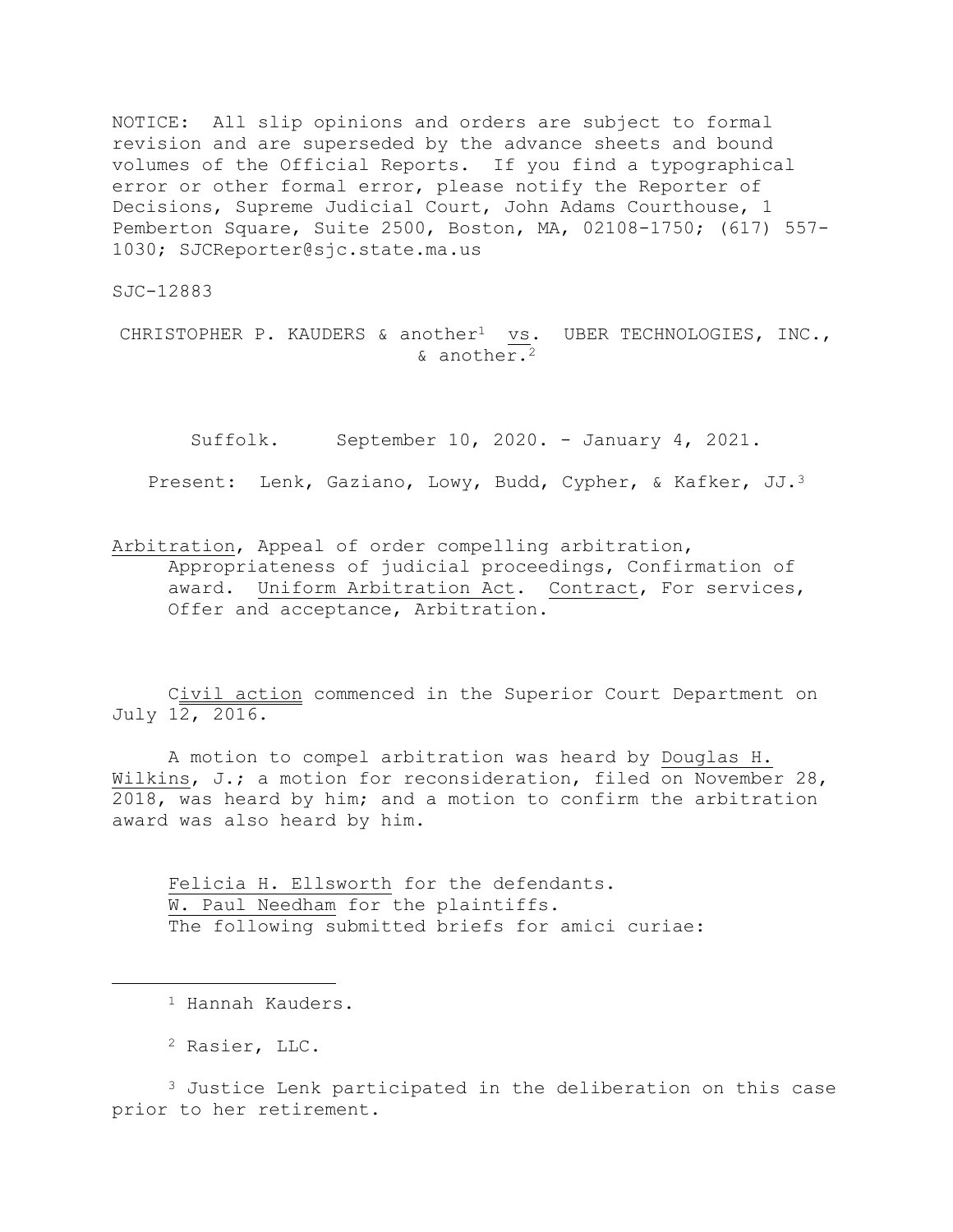NOTICE: All slip opinions and orders are subject to formal revision and are superseded by the advance sheets and bound volumes of the Official Reports. If you find a typographical error or other formal error, please notify the Reporter of Decisions, Supreme Judicial Court, John Adams Courthouse, 1 Pemberton Square, Suite 2500, Boston, MA, 02108-1750; (617) 557- 1030; SJCReporter@sjc.state.ma.us

SJC-12883

CHRISTOPHER P. KAUDERS & another<sup>1</sup> vs. UBER TECHNOLOGIES, INC., & another.<sup>2</sup>

Suffolk. September 10, 2020. - January 4, 2021. Present: Lenk, Gaziano, Lowy, Budd, Cypher, & Kafker, JJ.<sup>3</sup>

Arbitration, Appeal of order compelling arbitration, Appropriateness of judicial proceedings, Confirmation of award. Uniform Arbitration Act. Contract, For services, Offer and acceptance, Arbitration.

Civil action commenced in the Superior Court Department on July 12, 2016.

A motion to compel arbitration was heard by Douglas H. Wilkins, J.; a motion for reconsideration, filed on November 28, 2018, was heard by him; and a motion to confirm the arbitration award was also heard by him.

Felicia H. Ellsworth for the defendants. W. Paul Needham for the plaintiffs. The following submitted briefs for amici curiae:

L,

<sup>3</sup> Justice Lenk participated in the deliberation on this case prior to her retirement.

<sup>&</sup>lt;sup>1</sup> Hannah Kauders.

<sup>2</sup> Rasier, LLC.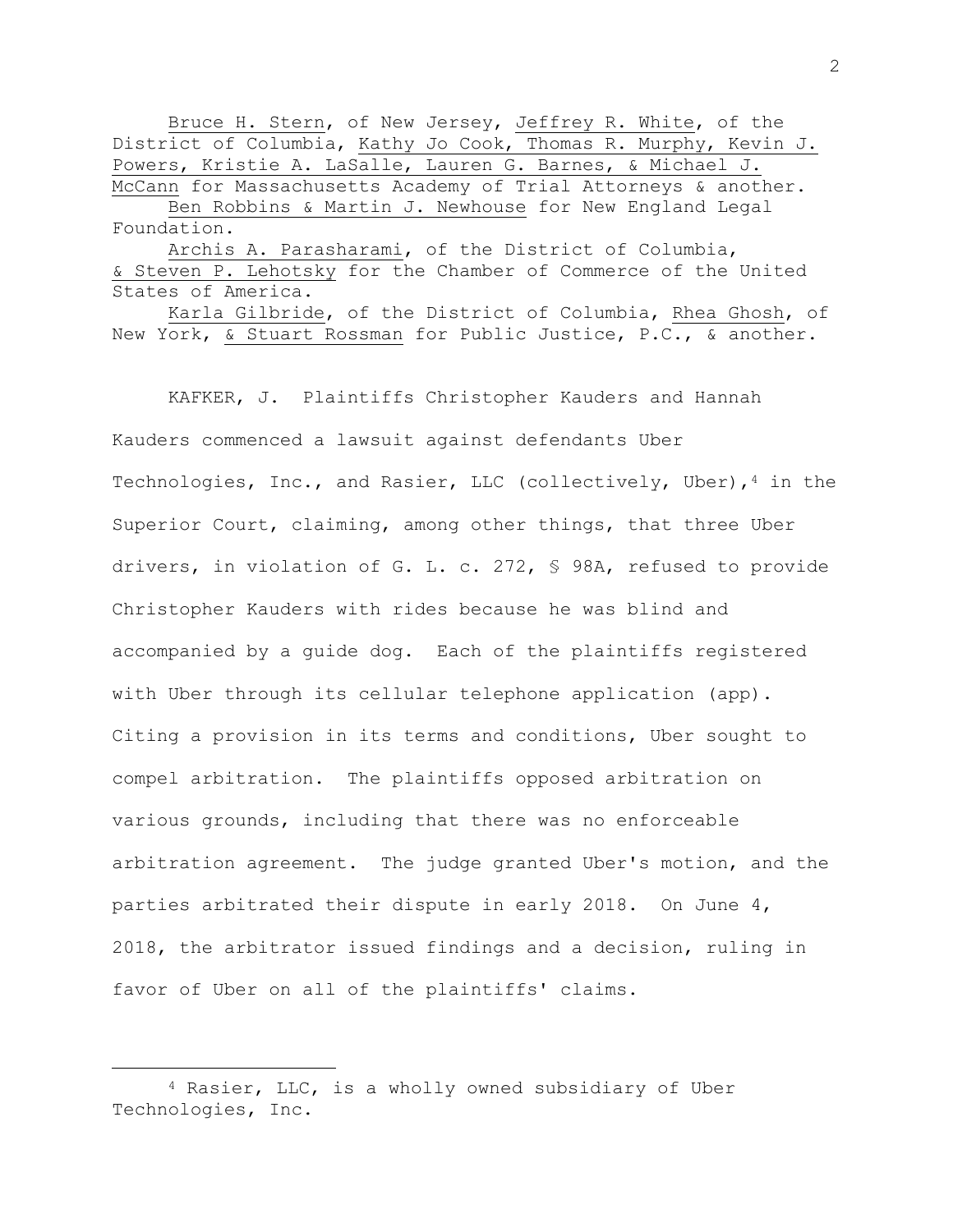Bruce H. Stern, of New Jersey, Jeffrey R. White, of the District of Columbia, Kathy Jo Cook, Thomas R. Murphy, Kevin J. Powers, Kristie A. LaSalle, Lauren G. Barnes, & Michael J. McCann for Massachusetts Academy of Trial Attorneys & another. Ben Robbins & Martin J. Newhouse for New England Legal Foundation.

Archis A. Parasharami, of the District of Columbia, & Steven P. Lehotsky for the Chamber of Commerce of the United States of America.

Karla Gilbride, of the District of Columbia, Rhea Ghosh, of New York, & Stuart Rossman for Public Justice, P.C., & another.

KAFKER, J. Plaintiffs Christopher Kauders and Hannah Kauders commenced a lawsuit against defendants Uber Technologies, Inc., and Rasier, LLC (collectively, Uber),  $4$  in the Superior Court, claiming, among other things, that three Uber drivers, in violation of G. L. c. 272, § 98A, refused to provide Christopher Kauders with rides because he was blind and accompanied by a guide dog. Each of the plaintiffs registered with Uber through its cellular telephone application (app). Citing a provision in its terms and conditions, Uber sought to compel arbitration. The plaintiffs opposed arbitration on various grounds, including that there was no enforceable arbitration agreement. The judge granted Uber's motion, and the parties arbitrated their dispute in early 2018. On June 4, 2018, the arbitrator issued findings and a decision, ruling in favor of Uber on all of the plaintiffs' claims.

<sup>4</sup> Rasier, LLC, is a wholly owned subsidiary of Uber Technologies, Inc.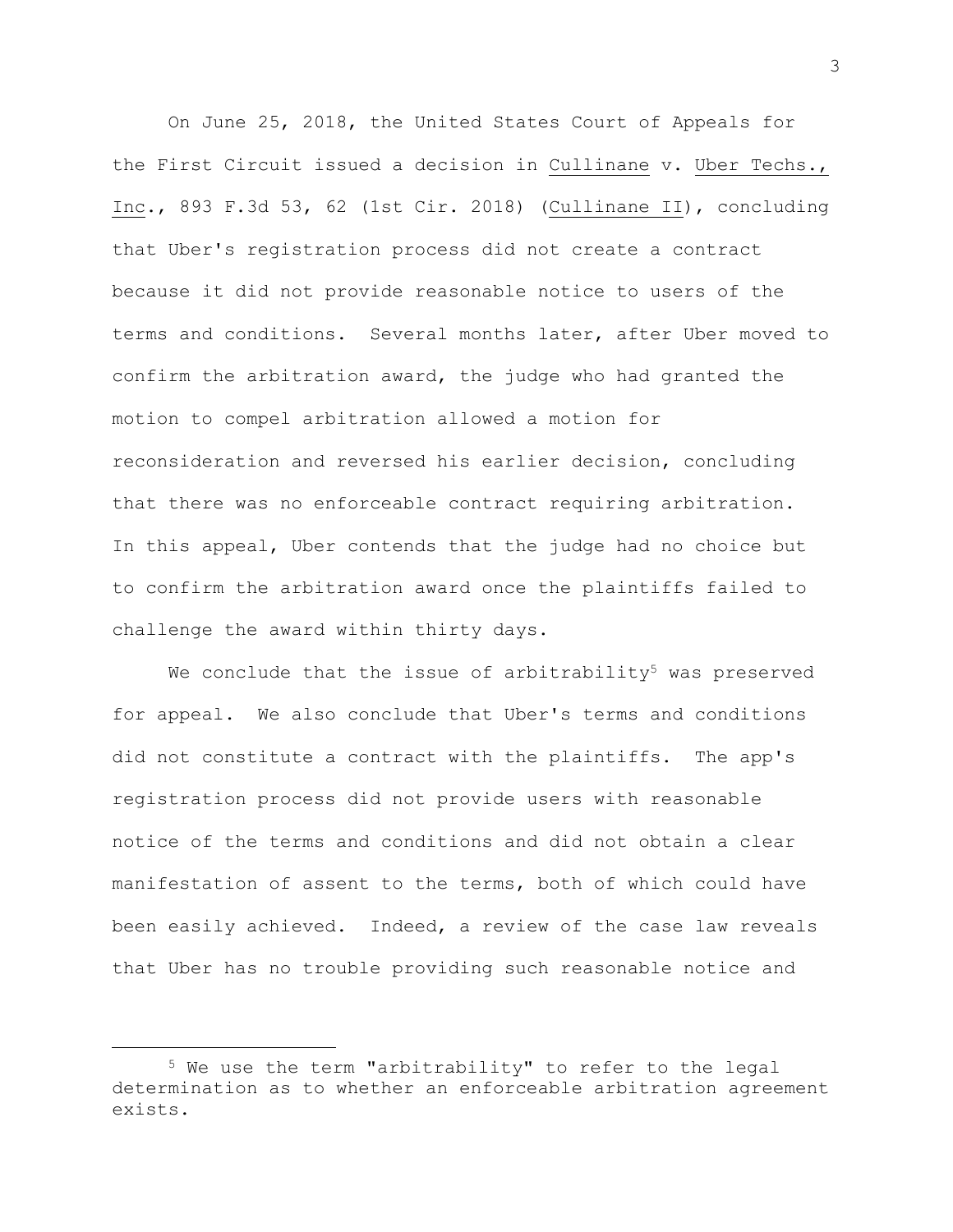On June 25, 2018, the United States Court of Appeals for the First Circuit issued a decision in Cullinane v. Uber Techs., Inc., 893 F.3d 53, 62 (1st Cir. 2018) (Cullinane II), concluding that Uber's registration process did not create a contract because it did not provide reasonable notice to users of the terms and conditions. Several months later, after Uber moved to confirm the arbitration award, the judge who had granted the motion to compel arbitration allowed a motion for reconsideration and reversed his earlier decision, concluding that there was no enforceable contract requiring arbitration. In this appeal, Uber contends that the judge had no choice but to confirm the arbitration award once the plaintiffs failed to challenge the award within thirty days.

We conclude that the issue of arbitrability<sup>5</sup> was preserved for appeal. We also conclude that Uber's terms and conditions did not constitute a contract with the plaintiffs. The app's registration process did not provide users with reasonable notice of the terms and conditions and did not obtain a clear manifestation of assent to the terms, both of which could have been easily achieved. Indeed, a review of the case law reveals that Uber has no trouble providing such reasonable notice and

<sup>5</sup> We use the term "arbitrability" to refer to the legal determination as to whether an enforceable arbitration agreement exists.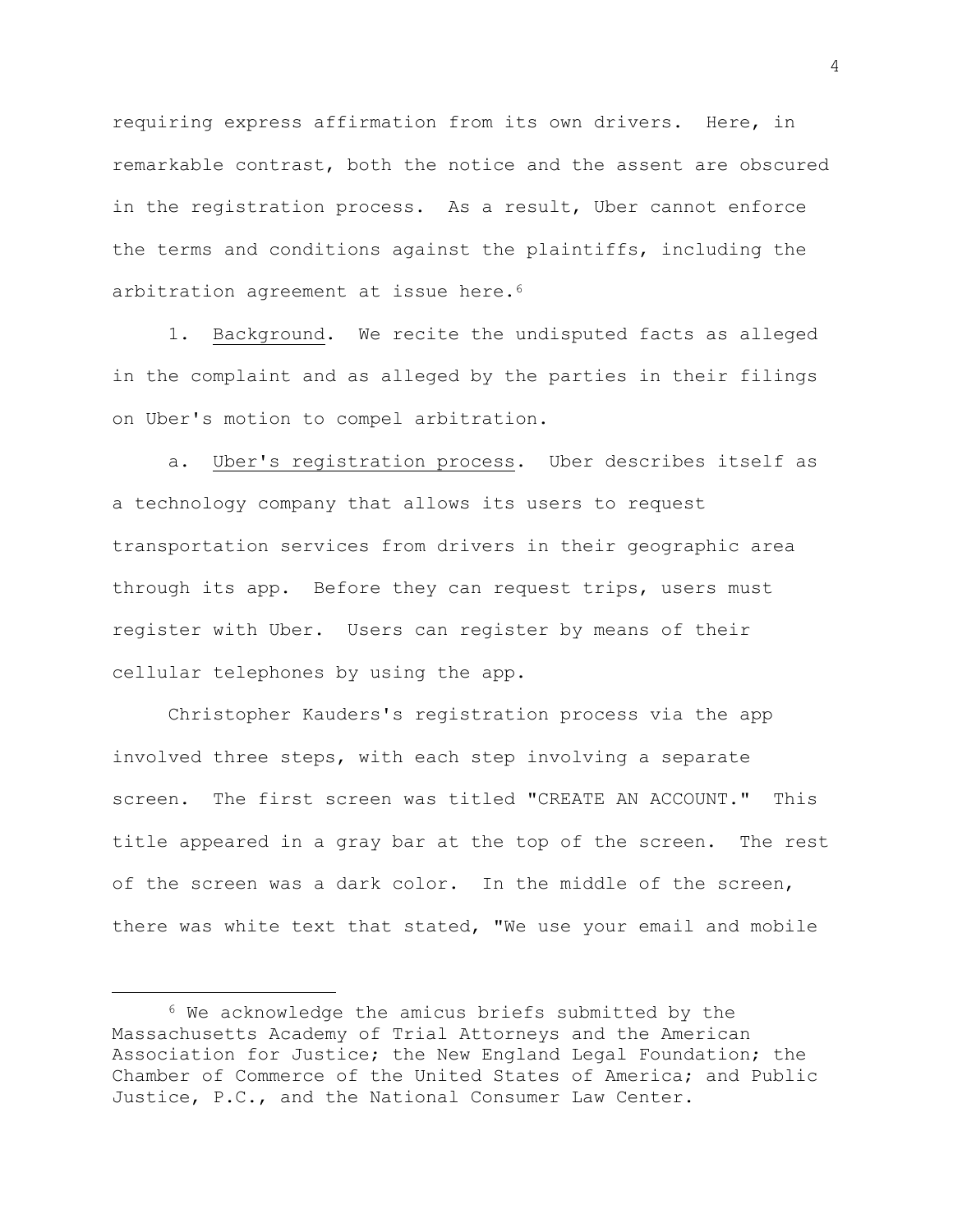requiring express affirmation from its own drivers. Here, in remarkable contrast, both the notice and the assent are obscured in the registration process. As a result, Uber cannot enforce the terms and conditions against the plaintiffs, including the arbitration agreement at issue here.<sup>6</sup>

1. Background. We recite the undisputed facts as alleged in the complaint and as alleged by the parties in their filings on Uber's motion to compel arbitration.

a. Uber's registration process. Uber describes itself as a technology company that allows its users to request transportation services from drivers in their geographic area through its app. Before they can request trips, users must register with Uber. Users can register by means of their cellular telephones by using the app.

Christopher Kauders's registration process via the app involved three steps, with each step involving a separate screen. The first screen was titled "CREATE AN ACCOUNT." This title appeared in a gray bar at the top of the screen. The rest of the screen was a dark color. In the middle of the screen, there was white text that stated, "We use your email and mobile

L,

<sup>6</sup> We acknowledge the amicus briefs submitted by the Massachusetts Academy of Trial Attorneys and the American Association for Justice; the New England Legal Foundation; the Chamber of Commerce of the United States of America; and Public Justice, P.C., and the National Consumer Law Center.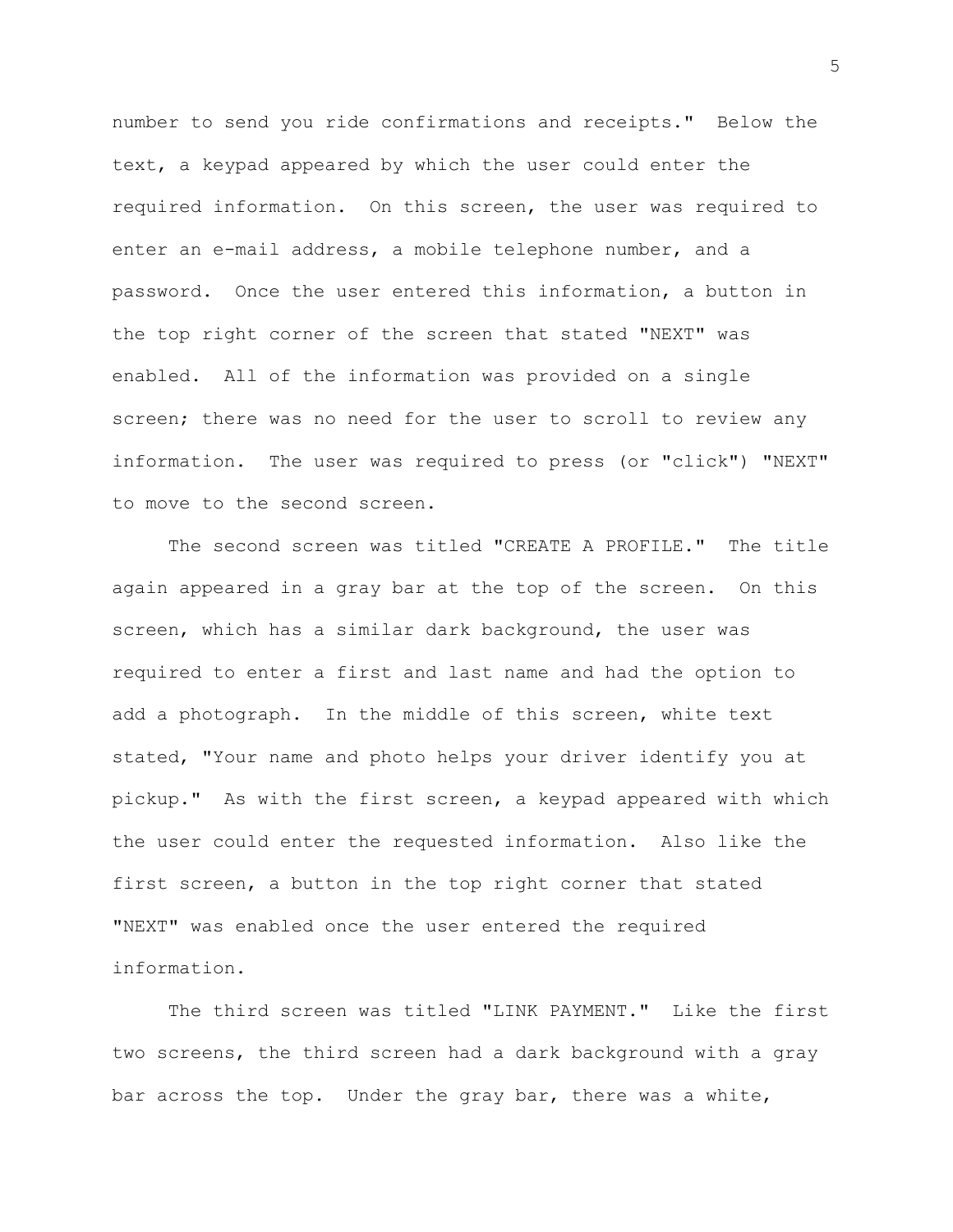number to send you ride confirmations and receipts." Below the text, a keypad appeared by which the user could enter the required information. On this screen, the user was required to enter an e-mail address, a mobile telephone number, and a password. Once the user entered this information, a button in the top right corner of the screen that stated "NEXT" was enabled. All of the information was provided on a single screen; there was no need for the user to scroll to review any information. The user was required to press (or "click") "NEXT" to move to the second screen.

The second screen was titled "CREATE A PROFILE." The title again appeared in a gray bar at the top of the screen. On this screen, which has a similar dark background, the user was required to enter a first and last name and had the option to add a photograph. In the middle of this screen, white text stated, "Your name and photo helps your driver identify you at pickup." As with the first screen, a keypad appeared with which the user could enter the requested information. Also like the first screen, a button in the top right corner that stated "NEXT" was enabled once the user entered the required information.

The third screen was titled "LINK PAYMENT." Like the first two screens, the third screen had a dark background with a gray bar across the top. Under the gray bar, there was a white,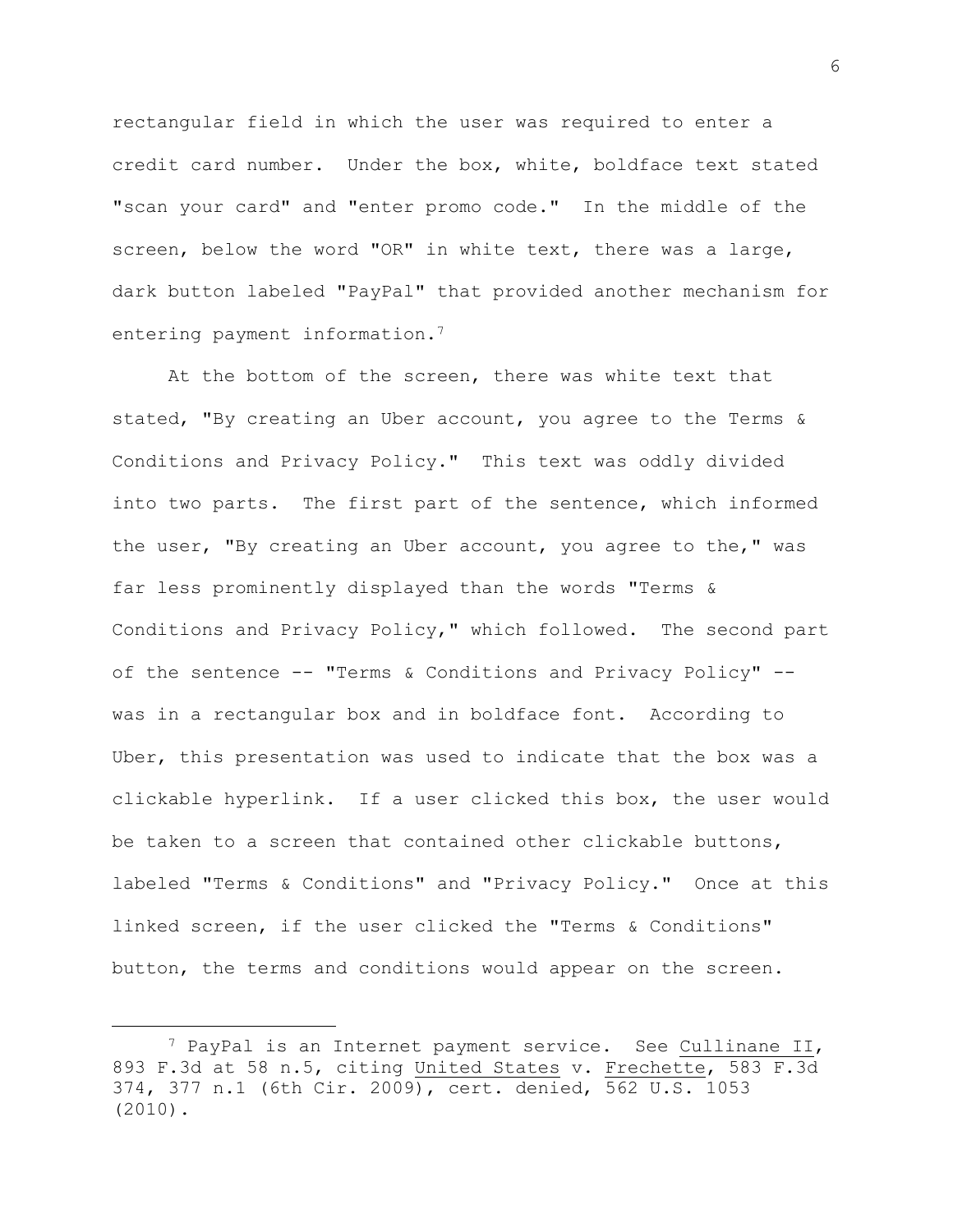rectangular field in which the user was required to enter a credit card number. Under the box, white, boldface text stated "scan your card" and "enter promo code." In the middle of the screen, below the word "OR" in white text, there was a large, dark button labeled "PayPal" that provided another mechanism for entering payment information.<sup>7</sup>

At the bottom of the screen, there was white text that stated, "By creating an Uber account, you agree to the Terms & Conditions and Privacy Policy." This text was oddly divided into two parts. The first part of the sentence, which informed the user, "By creating an Uber account, you agree to the," was far less prominently displayed than the words "Terms & Conditions and Privacy Policy," which followed. The second part of the sentence -- "Terms & Conditions and Privacy Policy" - was in a rectangular box and in boldface font. According to Uber, this presentation was used to indicate that the box was a clickable hyperlink. If a user clicked this box, the user would be taken to a screen that contained other clickable buttons, labeled "Terms & Conditions" and "Privacy Policy." Once at this linked screen, if the user clicked the "Terms & Conditions" button, the terms and conditions would appear on the screen.

<sup>7</sup> PayPal is an Internet payment service. See Cullinane II, 893 F.3d at 58 n.5, citing United States v. Frechette, 583 F.3d 374, 377 n.1 (6th Cir. 2009), cert. denied, 562 U.S. 1053 (2010).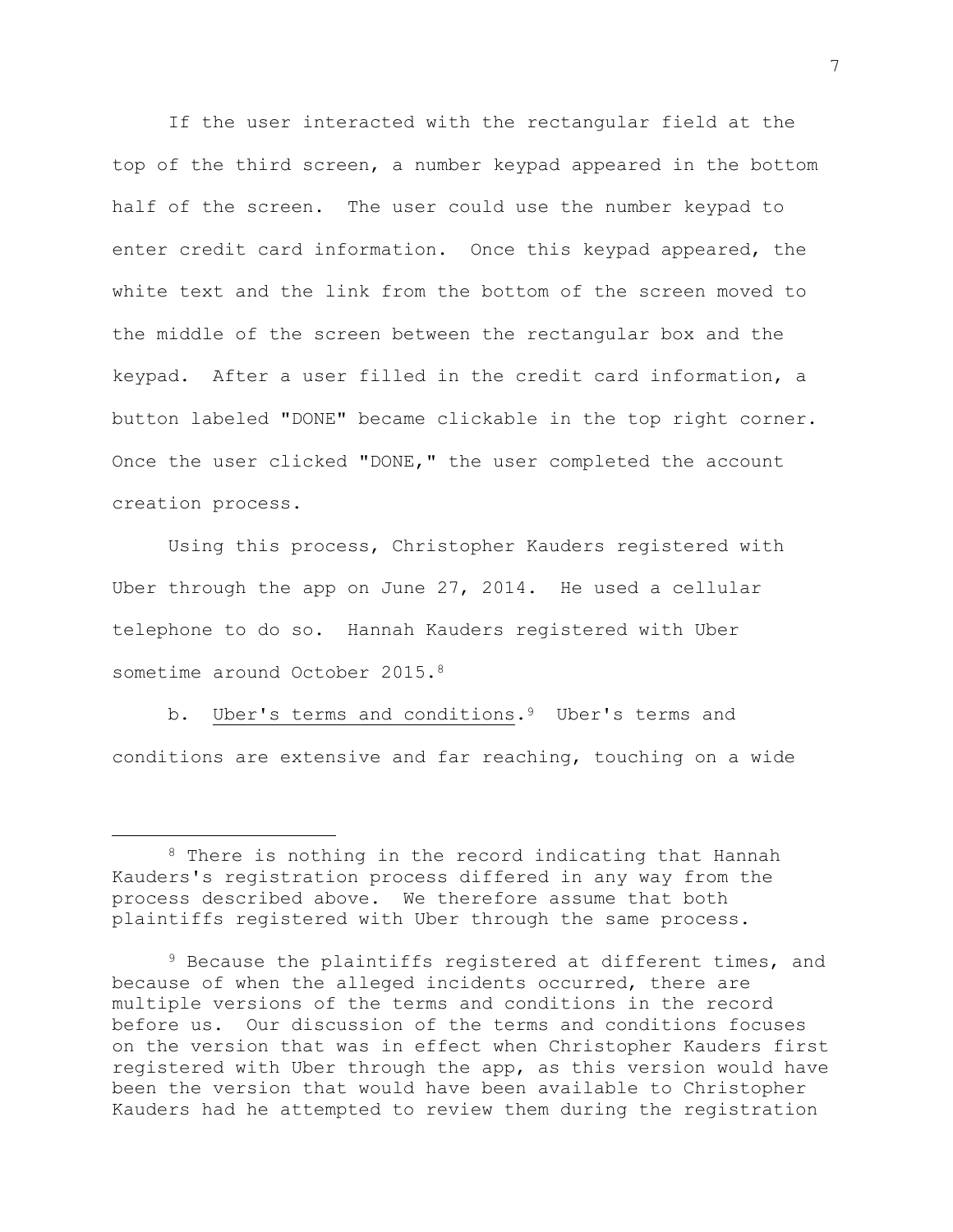If the user interacted with the rectangular field at the top of the third screen, a number keypad appeared in the bottom half of the screen. The user could use the number keypad to enter credit card information. Once this keypad appeared, the white text and the link from the bottom of the screen moved to the middle of the screen between the rectangular box and the keypad. After a user filled in the credit card information, a button labeled "DONE" became clickable in the top right corner. Once the user clicked "DONE," the user completed the account creation process.

Using this process, Christopher Kauders registered with Uber through the app on June 27, 2014. He used a cellular telephone to do so. Hannah Kauders registered with Uber sometime around October 2015.<sup>8</sup>

b. Uber's terms and conditions.<sup>9</sup> Uber's terms and conditions are extensive and far reaching, touching on a wide

<sup>8</sup> There is nothing in the record indicating that Hannah Kauders's registration process differed in any way from the process described above. We therefore assume that both plaintiffs registered with Uber through the same process.

<sup>9</sup> Because the plaintiffs registered at different times, and because of when the alleged incidents occurred, there are multiple versions of the terms and conditions in the record before us. Our discussion of the terms and conditions focuses on the version that was in effect when Christopher Kauders first registered with Uber through the app, as this version would have been the version that would have been available to Christopher Kauders had he attempted to review them during the registration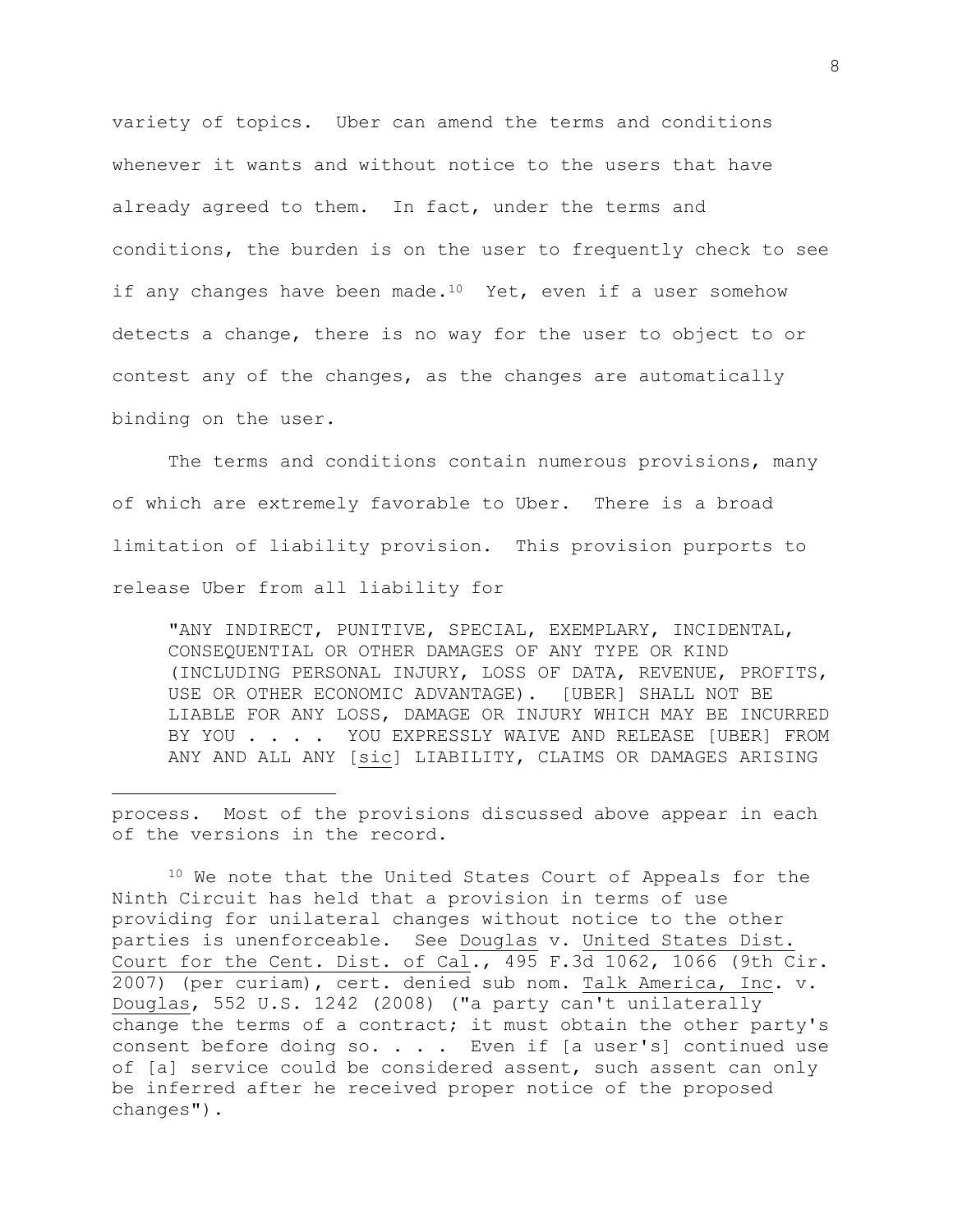variety of topics. Uber can amend the terms and conditions whenever it wants and without notice to the users that have already agreed to them. In fact, under the terms and conditions, the burden is on the user to frequently check to see if any changes have been made.<sup>10</sup> Yet, even if a user somehow detects a change, there is no way for the user to object to or contest any of the changes, as the changes are automatically binding on the user.

The terms and conditions contain numerous provisions, many of which are extremely favorable to Uber. There is a broad limitation of liability provision. This provision purports to release Uber from all liability for

"ANY INDIRECT, PUNITIVE, SPECIAL, EXEMPLARY, INCIDENTAL, CONSEQUENTIAL OR OTHER DAMAGES OF ANY TYPE OR KIND (INCLUDING PERSONAL INJURY, LOSS OF DATA, REVENUE, PROFITS, USE OR OTHER ECONOMIC ADVANTAGE). [UBER] SHALL NOT BE LIABLE FOR ANY LOSS, DAMAGE OR INJURY WHICH MAY BE INCURRED BY YOU . . . . YOU EXPRESSLY WAIVE AND RELEASE [UBER] FROM ANY AND ALL ANY [sic] LIABILITY, CLAIMS OR DAMAGES ARISING

process. Most of the provisions discussed above appear in each of the versions in the record.

<sup>10</sup> We note that the United States Court of Appeals for the Ninth Circuit has held that a provision in terms of use providing for unilateral changes without notice to the other parties is unenforceable. See Douglas v. United States Dist. Court for the Cent. Dist. of Cal., 495 F.3d 1062, 1066 (9th Cir. 2007) (per curiam), cert. denied sub nom. Talk America, Inc. v. Douglas, 552 U.S. 1242 (2008) ("a party can't unilaterally change the terms of a contract; it must obtain the other party's consent before doing  $so. . . .$  Even if [a user's] continued use of [a] service could be considered assent, such assent can only be inferred after he received proper notice of the proposed changes").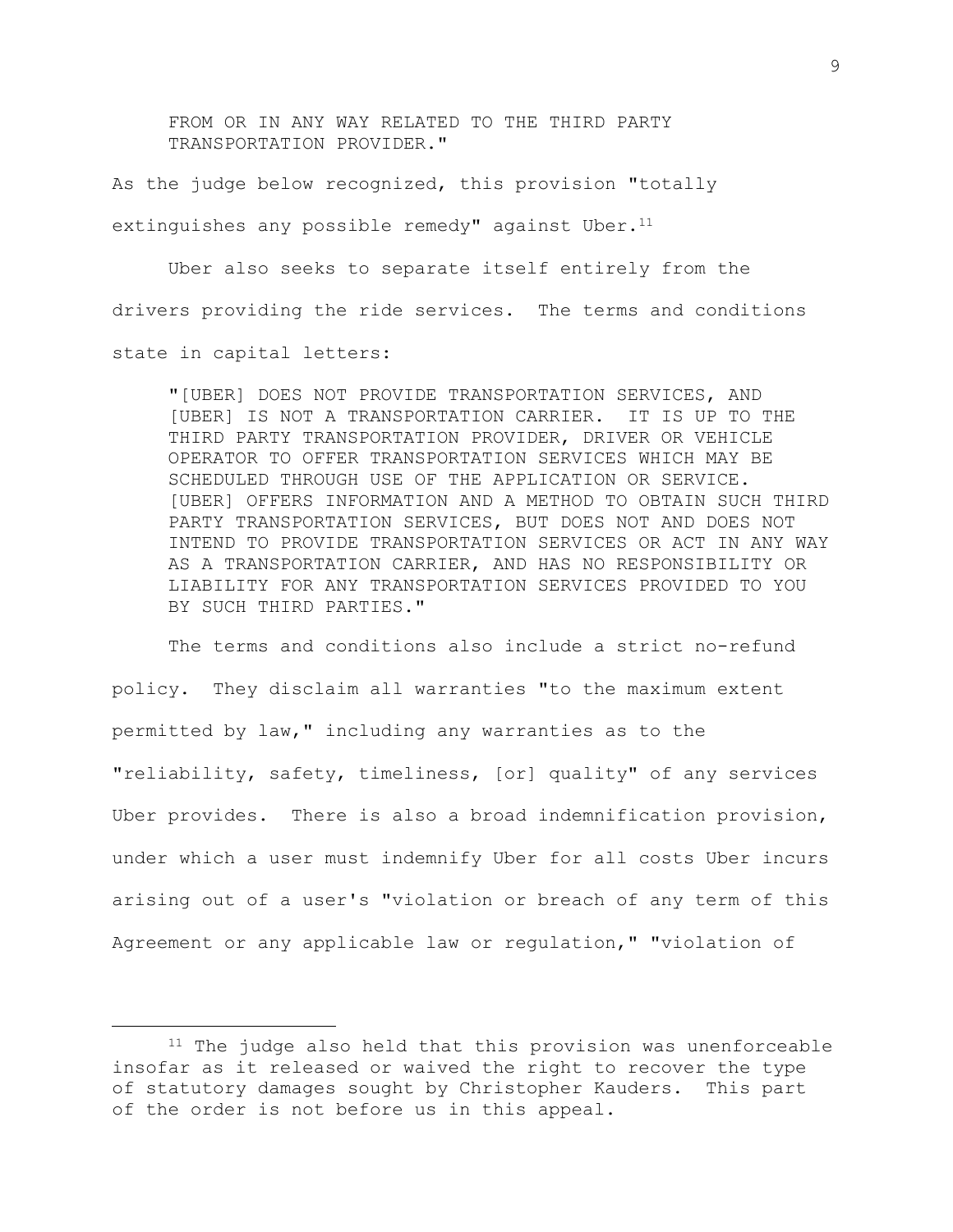FROM OR IN ANY WAY RELATED TO THE THIRD PARTY TRANSPORTATION PROVIDER."

As the judge below recognized, this provision "totally extinguishes any possible remedy" against Uber. $11$ 

Uber also seeks to separate itself entirely from the drivers providing the ride services. The terms and conditions state in capital letters:

"[UBER] DOES NOT PROVIDE TRANSPORTATION SERVICES, AND [UBER] IS NOT A TRANSPORTATION CARRIER. IT IS UP TO THE THIRD PARTY TRANSPORTATION PROVIDER, DRIVER OR VEHICLE OPERATOR TO OFFER TRANSPORTATION SERVICES WHICH MAY BE SCHEDULED THROUGH USE OF THE APPLICATION OR SERVICE. [UBER] OFFERS INFORMATION AND A METHOD TO OBTAIN SUCH THIRD PARTY TRANSPORTATION SERVICES, BUT DOES NOT AND DOES NOT INTEND TO PROVIDE TRANSPORTATION SERVICES OR ACT IN ANY WAY AS A TRANSPORTATION CARRIER, AND HAS NO RESPONSIBILITY OR LIABILITY FOR ANY TRANSPORTATION SERVICES PROVIDED TO YOU BY SUCH THIRD PARTIES."

The terms and conditions also include a strict no-refund policy. They disclaim all warranties "to the maximum extent permitted by law," including any warranties as to the "reliability, safety, timeliness, [or] quality" of any services Uber provides. There is also a broad indemnification provision, under which a user must indemnify Uber for all costs Uber incurs arising out of a user's "violation or breach of any term of this Agreement or any applicable law or regulation," "violation of

 $11$  The judge also held that this provision was unenforceable insofar as it released or waived the right to recover the type of statutory damages sought by Christopher Kauders. This part of the order is not before us in this appeal.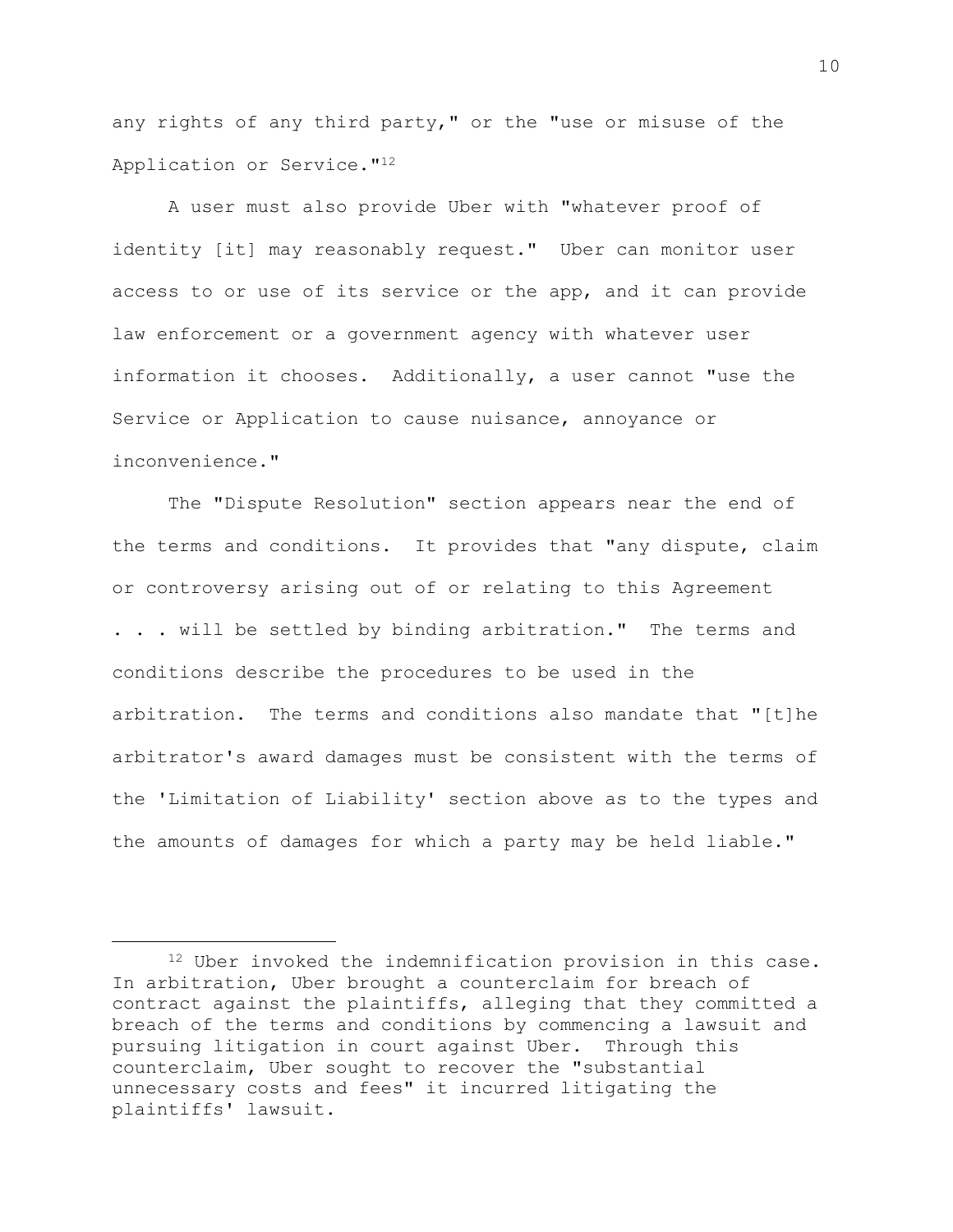any rights of any third party," or the "use or misuse of the Application or Service."<sup>12</sup>

A user must also provide Uber with "whatever proof of identity [it] may reasonably request." Uber can monitor user access to or use of its service or the app, and it can provide law enforcement or a government agency with whatever user information it chooses. Additionally, a user cannot "use the Service or Application to cause nuisance, annoyance or inconvenience."

The "Dispute Resolution" section appears near the end of the terms and conditions. It provides that "any dispute, claim or controversy arising out of or relating to this Agreement . . . will be settled by binding arbitration." The terms and conditions describe the procedures to be used in the arbitration. The terms and conditions also mandate that "[t]he arbitrator's award damages must be consistent with the terms of the 'Limitation of Liability' section above as to the types and the amounts of damages for which a party may be held liable."

<sup>12</sup> Uber invoked the indemnification provision in this case. In arbitration, Uber brought a counterclaim for breach of contract against the plaintiffs, alleging that they committed a breach of the terms and conditions by commencing a lawsuit and pursuing litigation in court against Uber. Through this counterclaim, Uber sought to recover the "substantial unnecessary costs and fees" it incurred litigating the plaintiffs' lawsuit.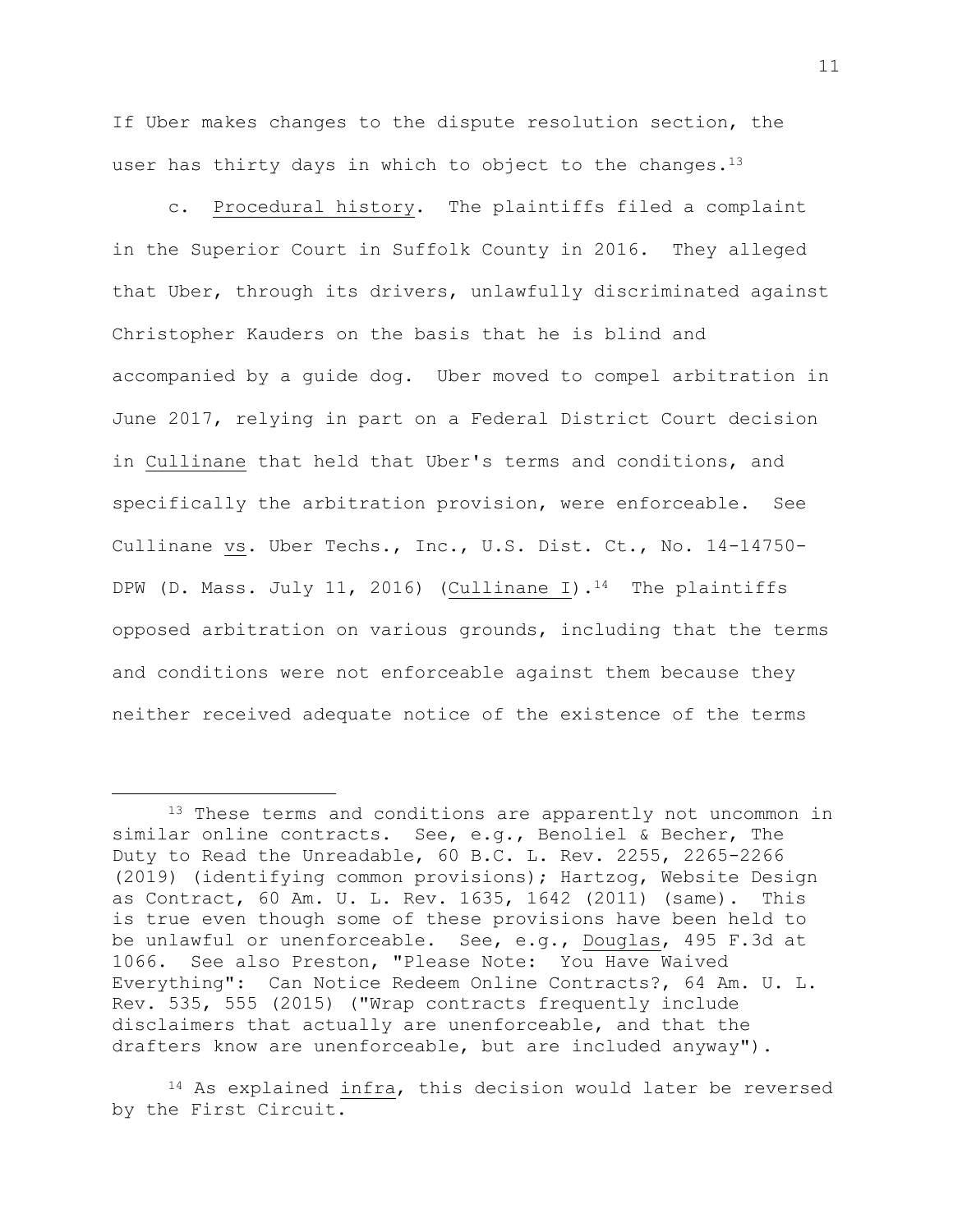If Uber makes changes to the dispute resolution section, the user has thirty days in which to object to the changes.<sup>13</sup>

c. Procedural history. The plaintiffs filed a complaint in the Superior Court in Suffolk County in 2016. They alleged that Uber, through its drivers, unlawfully discriminated against Christopher Kauders on the basis that he is blind and accompanied by a guide dog. Uber moved to compel arbitration in June 2017, relying in part on a Federal District Court decision in Cullinane that held that Uber's terms and conditions, and specifically the arbitration provision, were enforceable. See Cullinane vs. Uber Techs., Inc., U.S. Dist. Ct., No. 14-14750- DPW (D. Mass. July 11, 2016) (Cullinane I).<sup>14</sup> The plaintiffs opposed arbitration on various grounds, including that the terms and conditions were not enforceable against them because they neither received adequate notice of the existence of the terms

<sup>&</sup>lt;sup>13</sup> These terms and conditions are apparently not uncommon in similar online contracts. See, e.g., Benoliel & Becher, The Duty to Read the Unreadable, 60 B.C. L. Rev. 2255, 2265-2266 (2019) (identifying common provisions); Hartzog, Website Design as Contract, 60 Am. U. L. Rev. 1635, 1642 (2011) (same). This is true even though some of these provisions have been held to be unlawful or unenforceable. See, e.g., Douglas, 495 F.3d at 1066. See also Preston, "Please Note: You Have Waived Everything": Can Notice Redeem Online Contracts?, 64 Am. U. L. Rev. 535, 555 (2015) ("Wrap contracts frequently include disclaimers that actually are unenforceable, and that the drafters know are unenforceable, but are included anyway").

<sup>&</sup>lt;sup>14</sup> As explained infra, this decision would later be reversed by the First Circuit.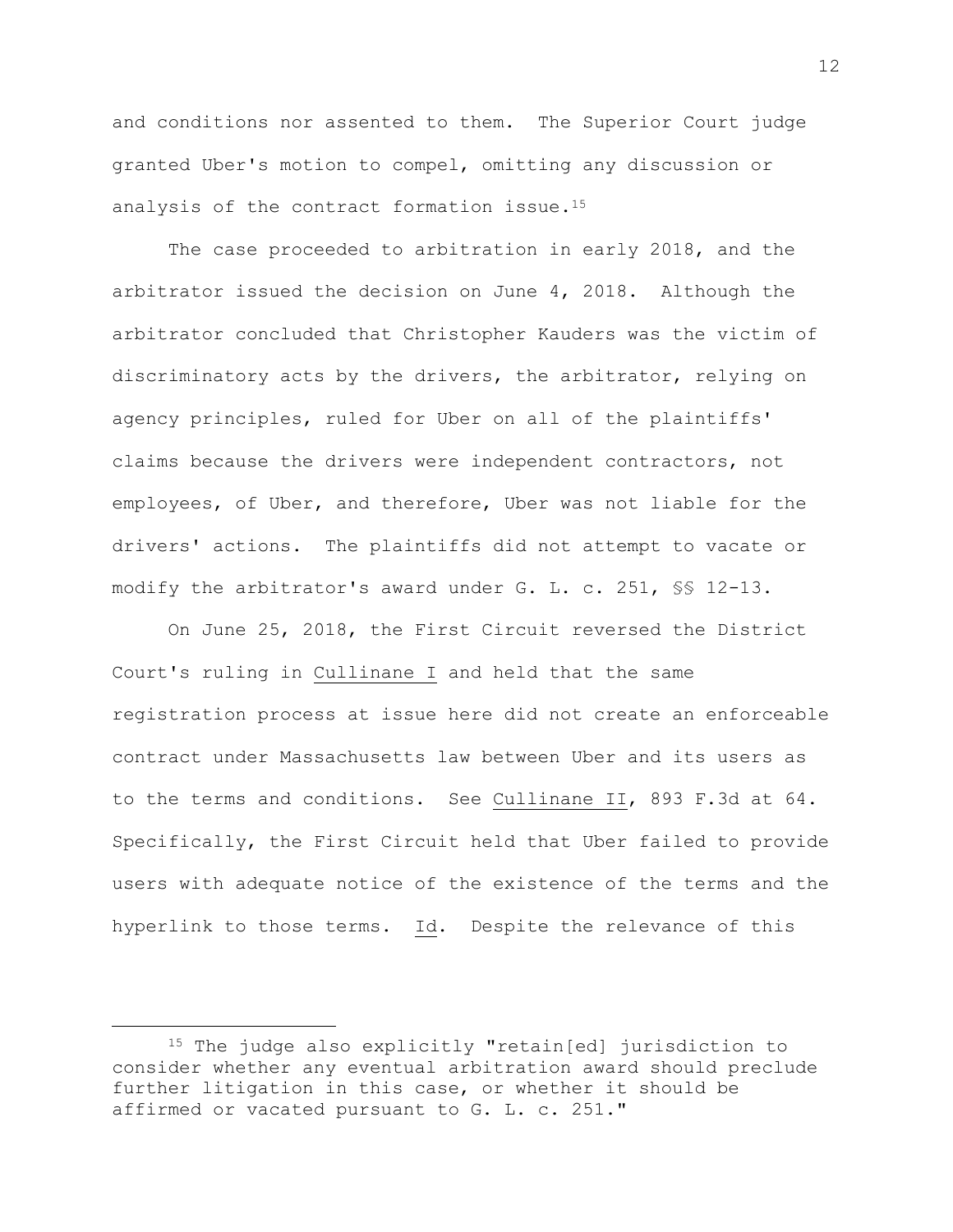and conditions nor assented to them. The Superior Court judge granted Uber's motion to compel, omitting any discussion or analysis of the contract formation issue.<sup>15</sup>

The case proceeded to arbitration in early 2018, and the arbitrator issued the decision on June 4, 2018. Although the arbitrator concluded that Christopher Kauders was the victim of discriminatory acts by the drivers, the arbitrator, relying on agency principles, ruled for Uber on all of the plaintiffs' claims because the drivers were independent contractors, not employees, of Uber, and therefore, Uber was not liable for the drivers' actions. The plaintiffs did not attempt to vacate or modify the arbitrator's award under G. L. c. 251, §§ 12-13.

On June 25, 2018, the First Circuit reversed the District Court's ruling in Cullinane I and held that the same registration process at issue here did not create an enforceable contract under Massachusetts law between Uber and its users as to the terms and conditions. See Cullinane II, 893 F.3d at 64. Specifically, the First Circuit held that Uber failed to provide users with adequate notice of the existence of the terms and the hyperlink to those terms. Id. Despite the relevance of this

<sup>15</sup> The judge also explicitly "retain[ed] jurisdiction to consider whether any eventual arbitration award should preclude further litigation in this case, or whether it should be affirmed or vacated pursuant to G. L. c. 251."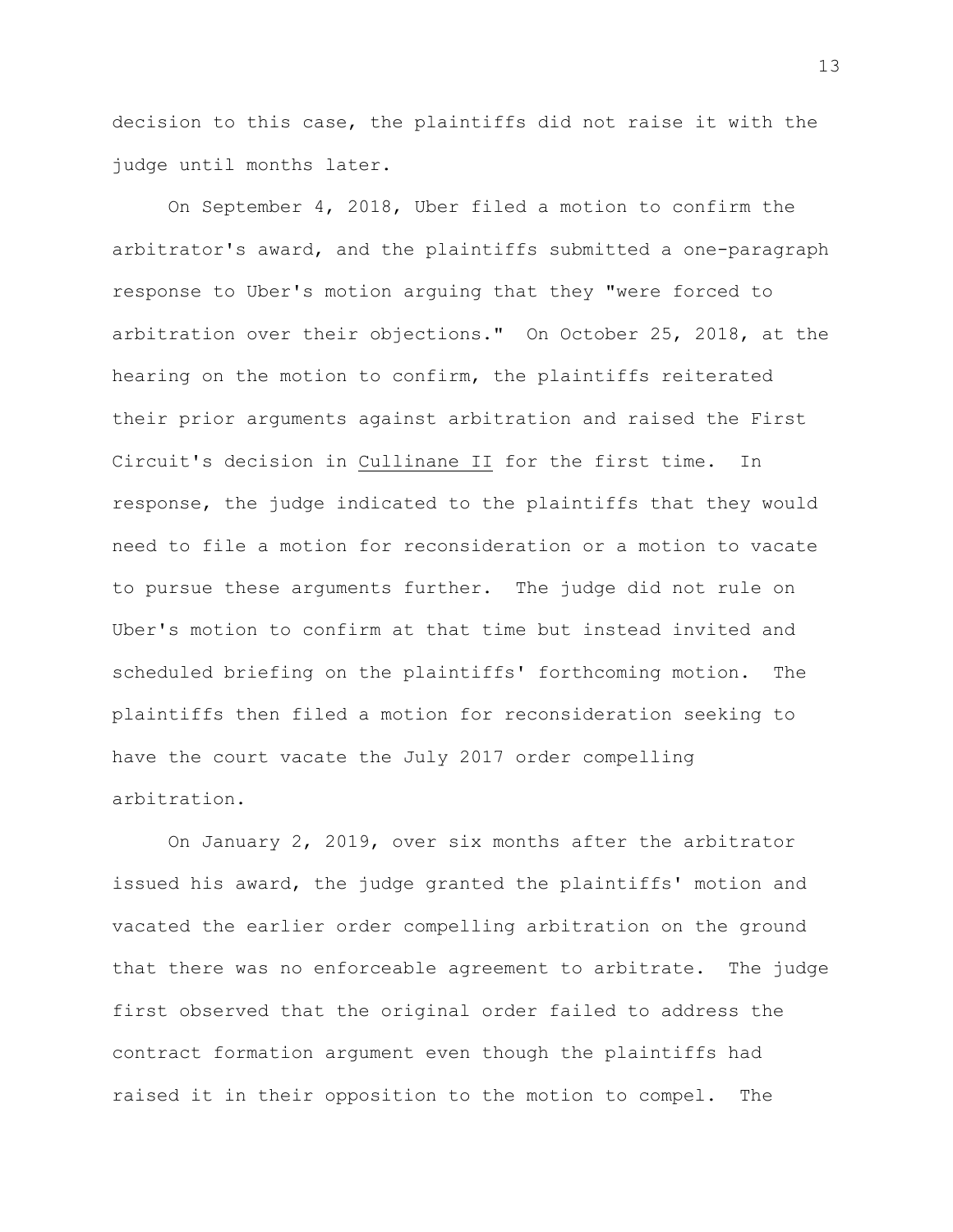decision to this case, the plaintiffs did not raise it with the judge until months later.

On September 4, 2018, Uber filed a motion to confirm the arbitrator's award, and the plaintiffs submitted a one-paragraph response to Uber's motion arguing that they "were forced to arbitration over their objections." On October 25, 2018, at the hearing on the motion to confirm, the plaintiffs reiterated their prior arguments against arbitration and raised the First Circuit's decision in Cullinane II for the first time. In response, the judge indicated to the plaintiffs that they would need to file a motion for reconsideration or a motion to vacate to pursue these arguments further. The judge did not rule on Uber's motion to confirm at that time but instead invited and scheduled briefing on the plaintiffs' forthcoming motion. The plaintiffs then filed a motion for reconsideration seeking to have the court vacate the July 2017 order compelling arbitration.

On January 2, 2019, over six months after the arbitrator issued his award, the judge granted the plaintiffs' motion and vacated the earlier order compelling arbitration on the ground that there was no enforceable agreement to arbitrate. The judge first observed that the original order failed to address the contract formation argument even though the plaintiffs had raised it in their opposition to the motion to compel. The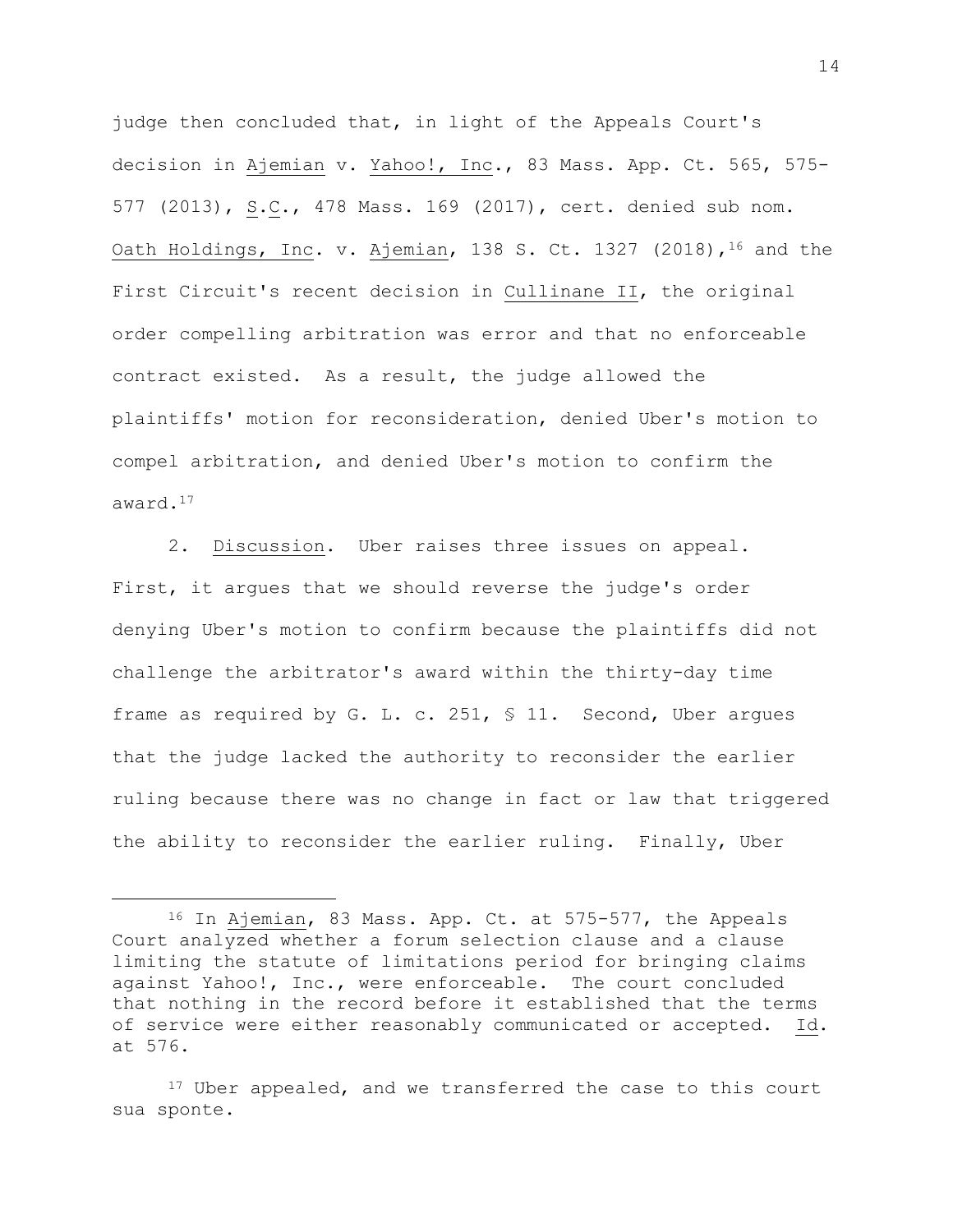judge then concluded that, in light of the Appeals Court's decision in Ajemian v. Yahoo!, Inc., 83 Mass. App. Ct. 565, 575- 577 (2013), S.C., 478 Mass. 169 (2017), cert. denied sub nom. Oath Holdings, Inc. v. Ajemian, 138 S. Ct. 1327 (2018), <sup>16</sup> and the First Circuit's recent decision in Cullinane II, the original order compelling arbitration was error and that no enforceable contract existed. As a result, the judge allowed the plaintiffs' motion for reconsideration, denied Uber's motion to compel arbitration, and denied Uber's motion to confirm the award.<sup>17</sup>

2. Discussion. Uber raises three issues on appeal. First, it argues that we should reverse the judge's order denying Uber's motion to confirm because the plaintiffs did not challenge the arbitrator's award within the thirty-day time frame as required by G. L. c. 251, § 11. Second, Uber argues that the judge lacked the authority to reconsider the earlier ruling because there was no change in fact or law that triggered the ability to reconsider the earlier ruling. Finally, Uber

<sup>16</sup> In Ajemian, 83 Mass. App. Ct. at 575-577, the Appeals Court analyzed whether a forum selection clause and a clause limiting the statute of limitations period for bringing claims against Yahoo!, Inc., were enforceable. The court concluded that nothing in the record before it established that the terms of service were either reasonably communicated or accepted. Id. at 576.

<sup>&</sup>lt;sup>17</sup> Uber appealed, and we transferred the case to this court sua sponte.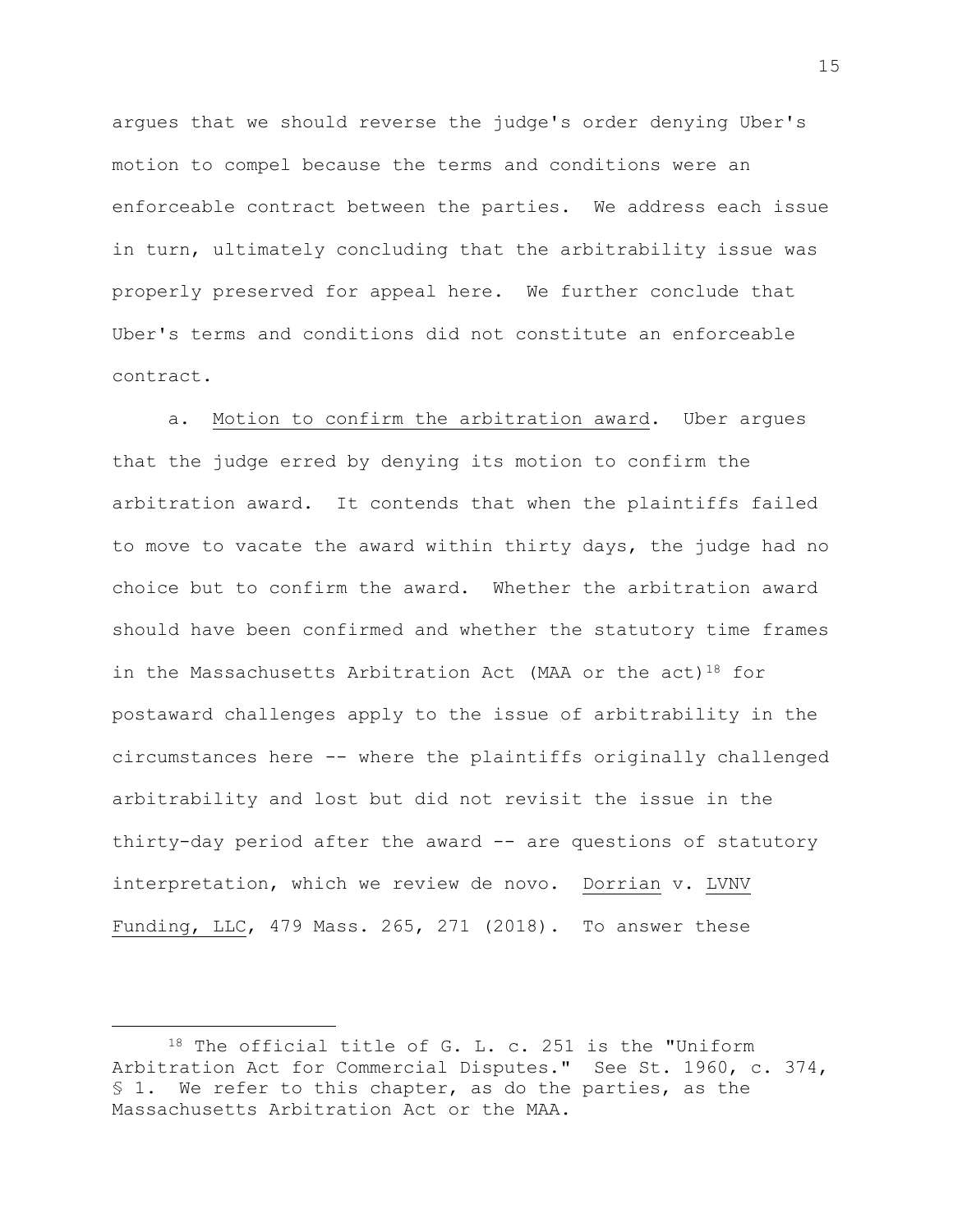argues that we should reverse the judge's order denying Uber's motion to compel because the terms and conditions were an enforceable contract between the parties. We address each issue in turn, ultimately concluding that the arbitrability issue was properly preserved for appeal here. We further conclude that Uber's terms and conditions did not constitute an enforceable contract.

a. Motion to confirm the arbitration award. Uber argues that the judge erred by denying its motion to confirm the arbitration award. It contends that when the plaintiffs failed to move to vacate the award within thirty days, the judge had no choice but to confirm the award. Whether the arbitration award should have been confirmed and whether the statutory time frames in the Massachusetts Arbitration Act (MAA or the act)<sup>18</sup> for postaward challenges apply to the issue of arbitrability in the circumstances here -- where the plaintiffs originally challenged arbitrability and lost but did not revisit the issue in the thirty-day period after the award -- are questions of statutory interpretation, which we review de novo. Dorrian v. LVNV Funding, LLC, 479 Mass. 265, 271 (2018). To answer these

<sup>18</sup> The official title of G. L. c. 251 is the "Uniform Arbitration Act for Commercial Disputes." See St. 1960, c. 374, § 1. We refer to this chapter, as do the parties, as the Massachusetts Arbitration Act or the MAA.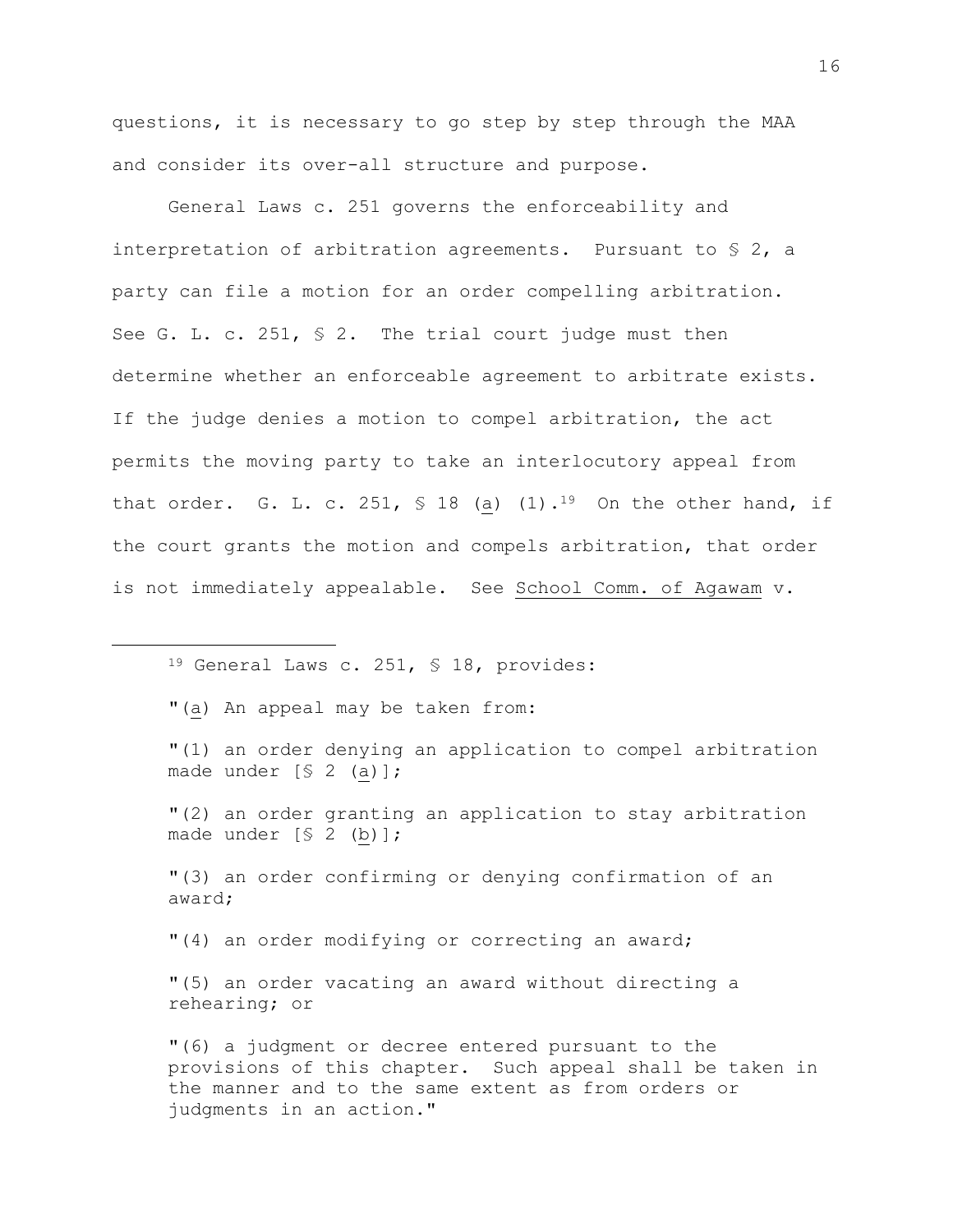questions, it is necessary to go step by step through the MAA and consider its over-all structure and purpose.

General Laws c. 251 governs the enforceability and interpretation of arbitration agreements. Pursuant to § 2, a party can file a motion for an order compelling arbitration. See G. L. c. 251, § 2. The trial court judge must then determine whether an enforceable agreement to arbitrate exists. If the judge denies a motion to compel arbitration, the act permits the moving party to take an interlocutory appeal from that order. G. L. c. 251, § 18 (a)  $(1)$ .<sup>19</sup> On the other hand, if the court grants the motion and compels arbitration, that order is not immediately appealable. See School Comm. of Agawam v.

- <sup>19</sup> General Laws c. 251, § 18, provides:
- "(a) An appeal may be taken from:

L,

- "(1) an order denying an application to compel arbitration made under [§ 2 (a)];
- "(2) an order granting an application to stay arbitration made under [§ 2 (b)];

"(3) an order confirming or denying confirmation of an award;

"(4) an order modifying or correcting an award;

"(5) an order vacating an award without directing a rehearing; or

"(6) a judgment or decree entered pursuant to the provisions of this chapter. Such appeal shall be taken in the manner and to the same extent as from orders or judgments in an action."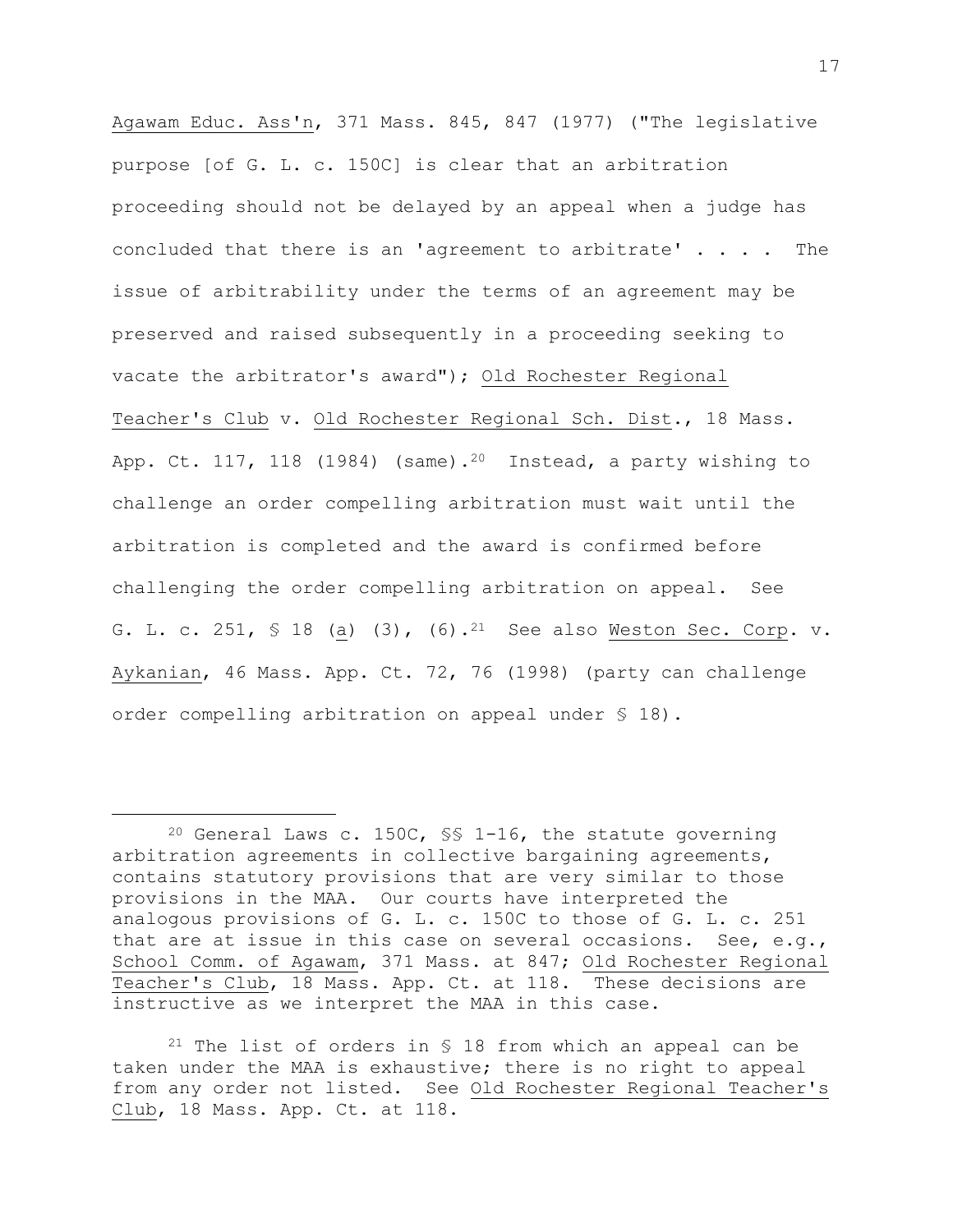Agawam Educ. Ass'n, 371 Mass. 845, 847 (1977) ("The legislative purpose [of G. L. c. 150C] is clear that an arbitration proceeding should not be delayed by an appeal when a judge has concluded that there is an 'agreement to arbitrate' . . . . The issue of arbitrability under the terms of an agreement may be preserved and raised subsequently in a proceeding seeking to vacate the arbitrator's award"); Old Rochester Regional Teacher's Club v. Old Rochester Regional Sch. Dist., 18 Mass. App. Ct. 117, 118 (1984) (same).<sup>20</sup> Instead, a party wishing to challenge an order compelling arbitration must wait until the arbitration is completed and the award is confirmed before challenging the order compelling arbitration on appeal. See G. L. c. 251, § 18 (a) (3), (6).21 See also Weston Sec. Corp. v. Aykanian, 46 Mass. App. Ct. 72, 76 (1998) (party can challenge order compelling arbitration on appeal under § 18).

L,

<sup>&</sup>lt;sup>20</sup> General Laws c. 150C,  $\frac{1}{5}$  1-16, the statute governing arbitration agreements in collective bargaining agreements, contains statutory provisions that are very similar to those provisions in the MAA. Our courts have interpreted the analogous provisions of G. L. c. 150C to those of G. L. c. 251 that are at issue in this case on several occasions. See, e.g., School Comm. of Agawam, 371 Mass. at 847; Old Rochester Regional Teacher's Club, 18 Mass. App. Ct. at 118. These decisions are instructive as we interpret the MAA in this case.

<sup>&</sup>lt;sup>21</sup> The list of orders in § 18 from which an appeal can be taken under the MAA is exhaustive; there is no right to appeal from any order not listed. See Old Rochester Regional Teacher's Club, 18 Mass. App. Ct. at 118.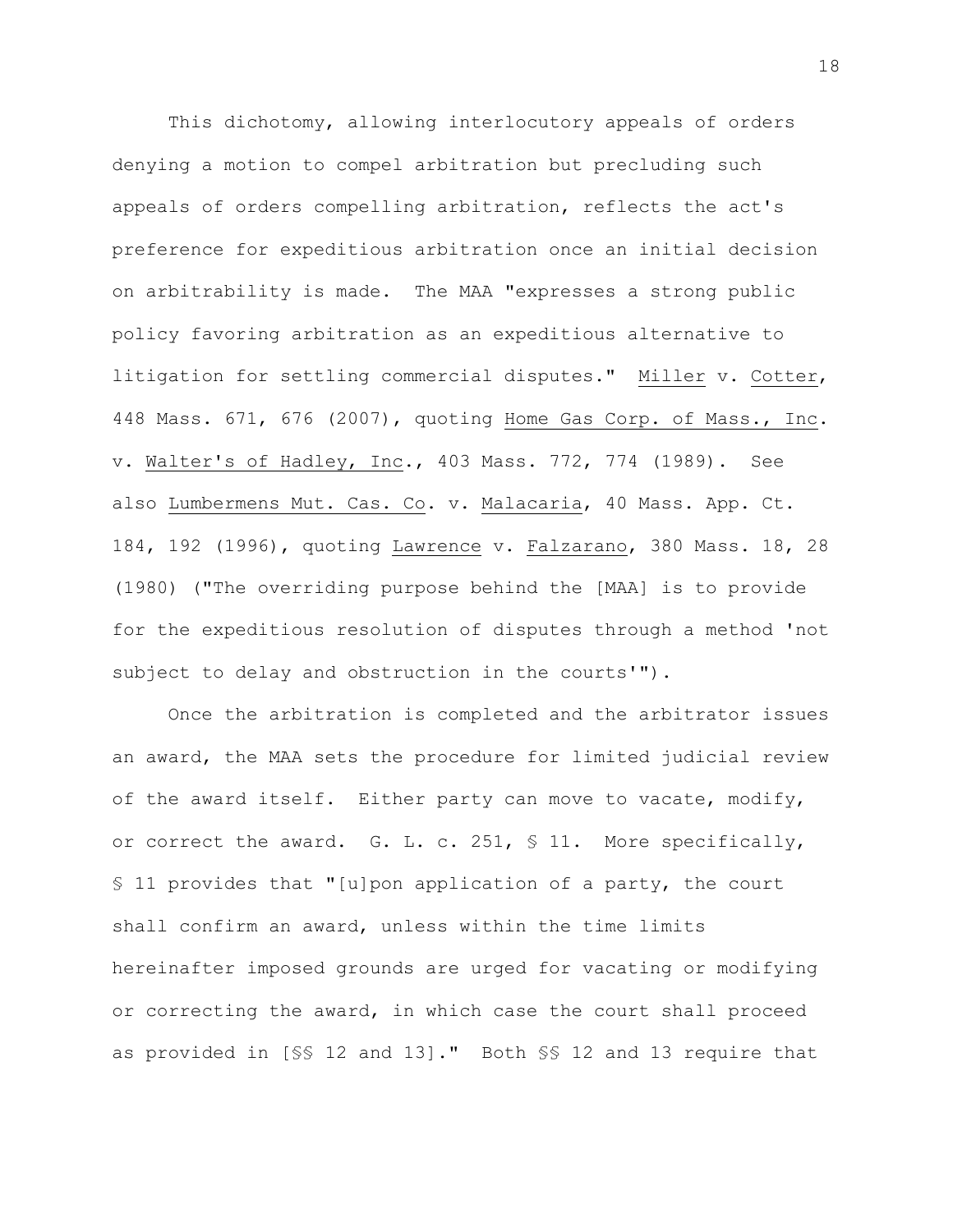This dichotomy, allowing interlocutory appeals of orders denying a motion to compel arbitration but precluding such appeals of orders compelling arbitration, reflects the act's preference for expeditious arbitration once an initial decision on arbitrability is made. The MAA "expresses a strong public policy favoring arbitration as an expeditious alternative to litigation for settling commercial disputes." Miller v. Cotter, 448 Mass. 671, 676 (2007), quoting Home Gas Corp. of Mass., Inc. v. Walter's of Hadley, Inc., 403 Mass. 772, 774 (1989). See also Lumbermens Mut. Cas. Co. v. Malacaria, 40 Mass. App. Ct. 184, 192 (1996), quoting Lawrence v. Falzarano, 380 Mass. 18, 28 (1980) ("The overriding purpose behind the [MAA] is to provide for the expeditious resolution of disputes through a method 'not subject to delay and obstruction in the courts'").

Once the arbitration is completed and the arbitrator issues an award, the MAA sets the procedure for limited judicial review of the award itself. Either party can move to vacate, modify, or correct the award. G. L. c. 251, § 11. More specifically, § 11 provides that "[u]pon application of a party, the court shall confirm an award, unless within the time limits hereinafter imposed grounds are urged for vacating or modifying or correcting the award, in which case the court shall proceed as provided in [§§ 12 and 13]." Both §§ 12 and 13 require that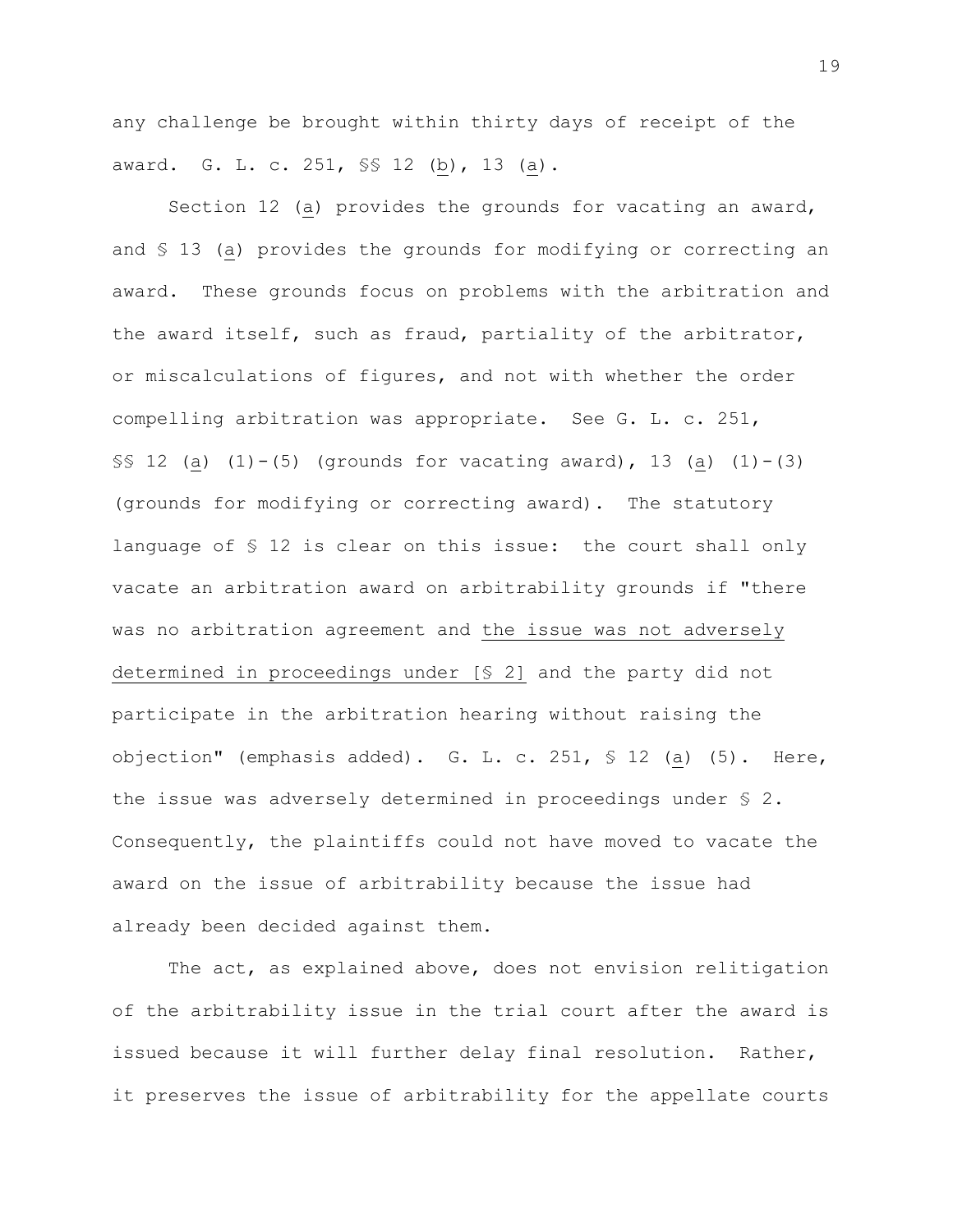any challenge be brought within thirty days of receipt of the award. G. L. c. 251, \$\$ 12 (b), 13 (a).

Section 12 (a) provides the grounds for vacating an award, and § 13 (a) provides the grounds for modifying or correcting an award. These grounds focus on problems with the arbitration and the award itself, such as fraud, partiality of the arbitrator, or miscalculations of figures, and not with whether the order compelling arbitration was appropriate. See G. L. c. 251,  $$S$ 12 (a) (1)-(5) (grounds for vacationg award), 13 (a) (1)-(3)$ (grounds for modifying or correcting award). The statutory language of § 12 is clear on this issue: the court shall only vacate an arbitration award on arbitrability grounds if "there was no arbitration agreement and the issue was not adversely determined in proceedings under [§ 2] and the party did not participate in the arbitration hearing without raising the objection" (emphasis added). G. L. c. 251, § 12 (a) (5). Here, the issue was adversely determined in proceedings under § 2. Consequently, the plaintiffs could not have moved to vacate the award on the issue of arbitrability because the issue had already been decided against them.

The act, as explained above, does not envision relitigation of the arbitrability issue in the trial court after the award is issued because it will further delay final resolution. Rather, it preserves the issue of arbitrability for the appellate courts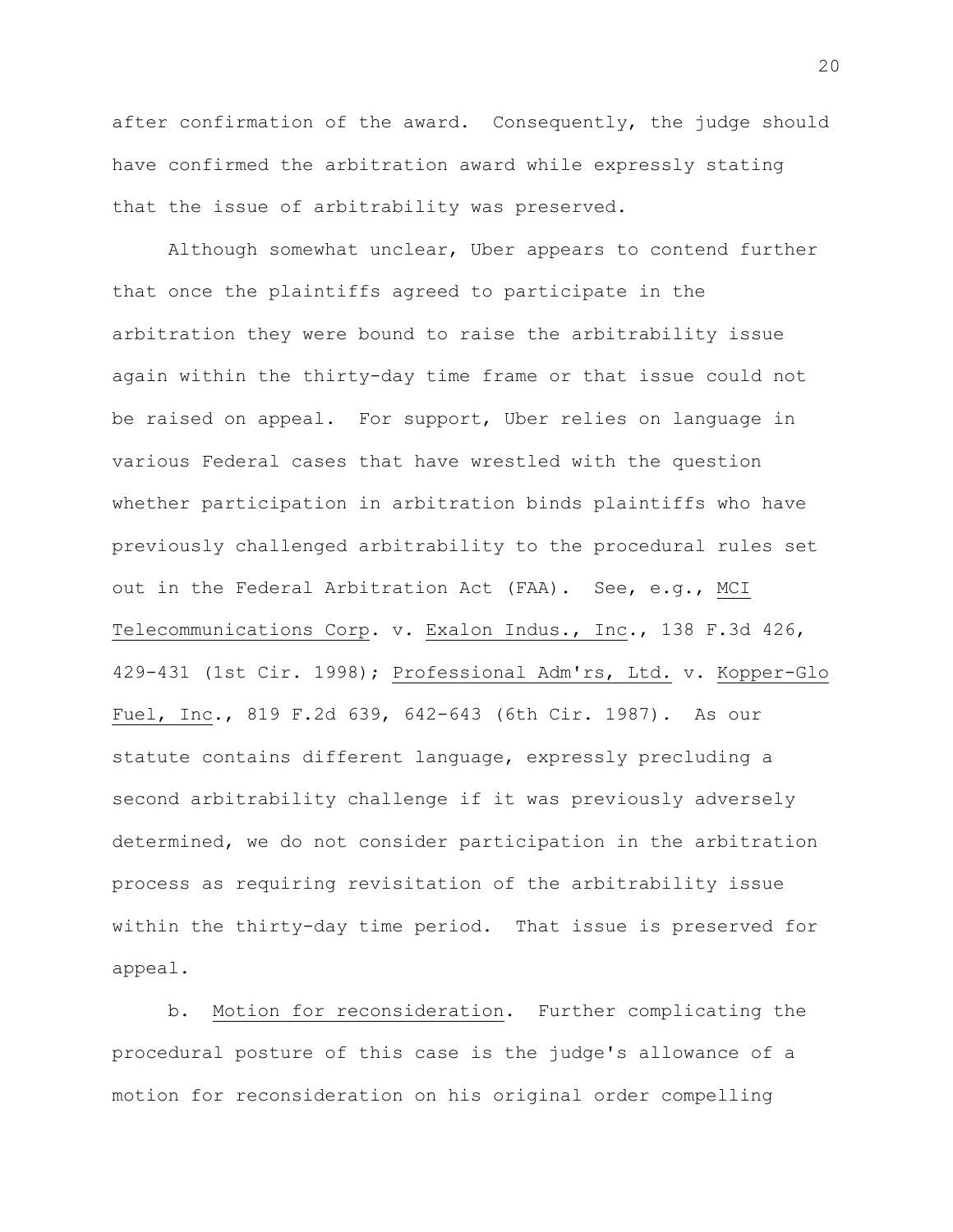after confirmation of the award. Consequently, the judge should have confirmed the arbitration award while expressly stating that the issue of arbitrability was preserved.

Although somewhat unclear, Uber appears to contend further that once the plaintiffs agreed to participate in the arbitration they were bound to raise the arbitrability issue again within the thirty-day time frame or that issue could not be raised on appeal. For support, Uber relies on language in various Federal cases that have wrestled with the question whether participation in arbitration binds plaintiffs who have previously challenged arbitrability to the procedural rules set out in the Federal Arbitration Act (FAA). See, e.g., MCI Telecommunications Corp. v. Exalon Indus., Inc., 138 F.3d 426, 429-431 (1st Cir. 1998); Professional Adm'rs, Ltd. v. Kopper-Glo Fuel, Inc., 819 F.2d 639, 642-643 (6th Cir. 1987). As our statute contains different language, expressly precluding a second arbitrability challenge if it was previously adversely determined, we do not consider participation in the arbitration process as requiring revisitation of the arbitrability issue within the thirty-day time period. That issue is preserved for appeal.

b. Motion for reconsideration. Further complicating the procedural posture of this case is the judge's allowance of a motion for reconsideration on his original order compelling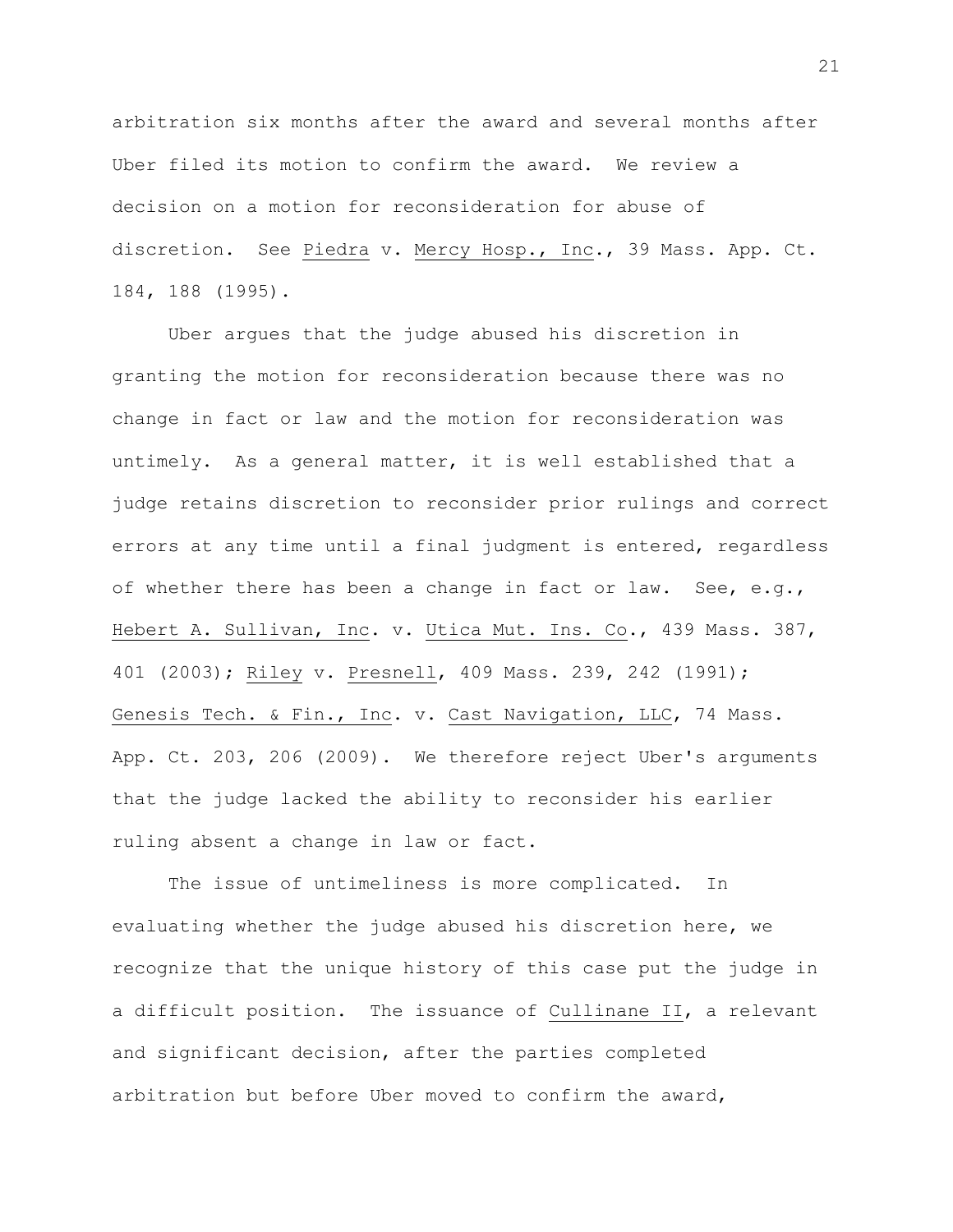arbitration six months after the award and several months after Uber filed its motion to confirm the award. We review a decision on a motion for reconsideration for abuse of discretion. See Piedra v. Mercy Hosp., Inc., 39 Mass. App. Ct. 184, 188 (1995).

Uber argues that the judge abused his discretion in granting the motion for reconsideration because there was no change in fact or law and the motion for reconsideration was untimely.As a general matter, it is well established that a judge retains discretion to reconsider prior rulings and correct errors at any time until a final judgment is entered, regardless of whether there has been a change in fact or law. See, e.g., Hebert A. Sullivan, Inc. v. Utica Mut. Ins. Co., 439 Mass. 387, 401 (2003); Riley v. Presnell, 409 Mass. 239, 242 (1991); Genesis Tech. & Fin., Inc. v. Cast Navigation, LLC, 74 Mass. App. Ct. 203, 206 (2009). We therefore reject Uber's arguments that the judge lacked the ability to reconsider his earlier ruling absent a change in law or fact.

The issue of untimeliness is more complicated. In evaluating whether the judge abused his discretion here, we recognize that the unique history of this case put the judge in a difficult position. The issuance of Cullinane II, a relevant and significant decision, after the parties completed arbitration but before Uber moved to confirm the award,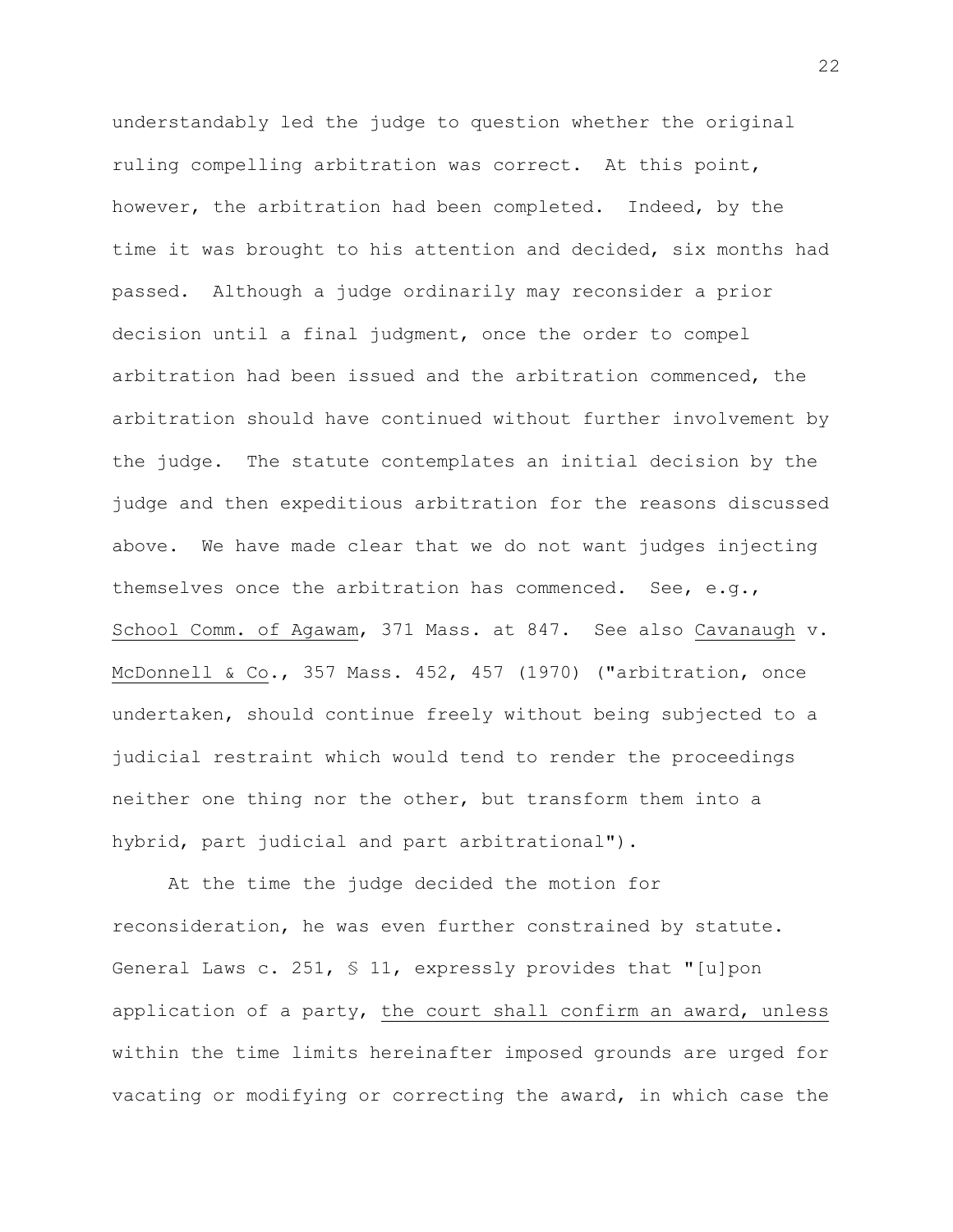understandably led the judge to question whether the original ruling compelling arbitration was correct. At this point, however, the arbitration had been completed. Indeed, by the time it was brought to his attention and decided, six months had passed. Although a judge ordinarily may reconsider a prior decision until a final judgment, once the order to compel arbitration had been issued and the arbitration commenced, the arbitration should have continued without further involvement by the judge. The statute contemplates an initial decision by the judge and then expeditious arbitration for the reasons discussed above. We have made clear that we do not want judges injecting themselves once the arbitration has commenced. See, e.g., School Comm. of Agawam, 371 Mass. at 847. See also Cavanaugh v. McDonnell & Co., 357 Mass. 452, 457 (1970) ("arbitration, once undertaken, should continue freely without being subjected to a judicial restraint which would tend to render the proceedings neither one thing nor the other, but transform them into a hybrid, part judicial and part arbitrational").

At the time the judge decided the motion for reconsideration, he was even further constrained by statute. General Laws c. 251, § 11, expressly provides that "[u]pon application of a party, the court shall confirm an award, unless within the time limits hereinafter imposed grounds are urged for vacating or modifying or correcting the award, in which case the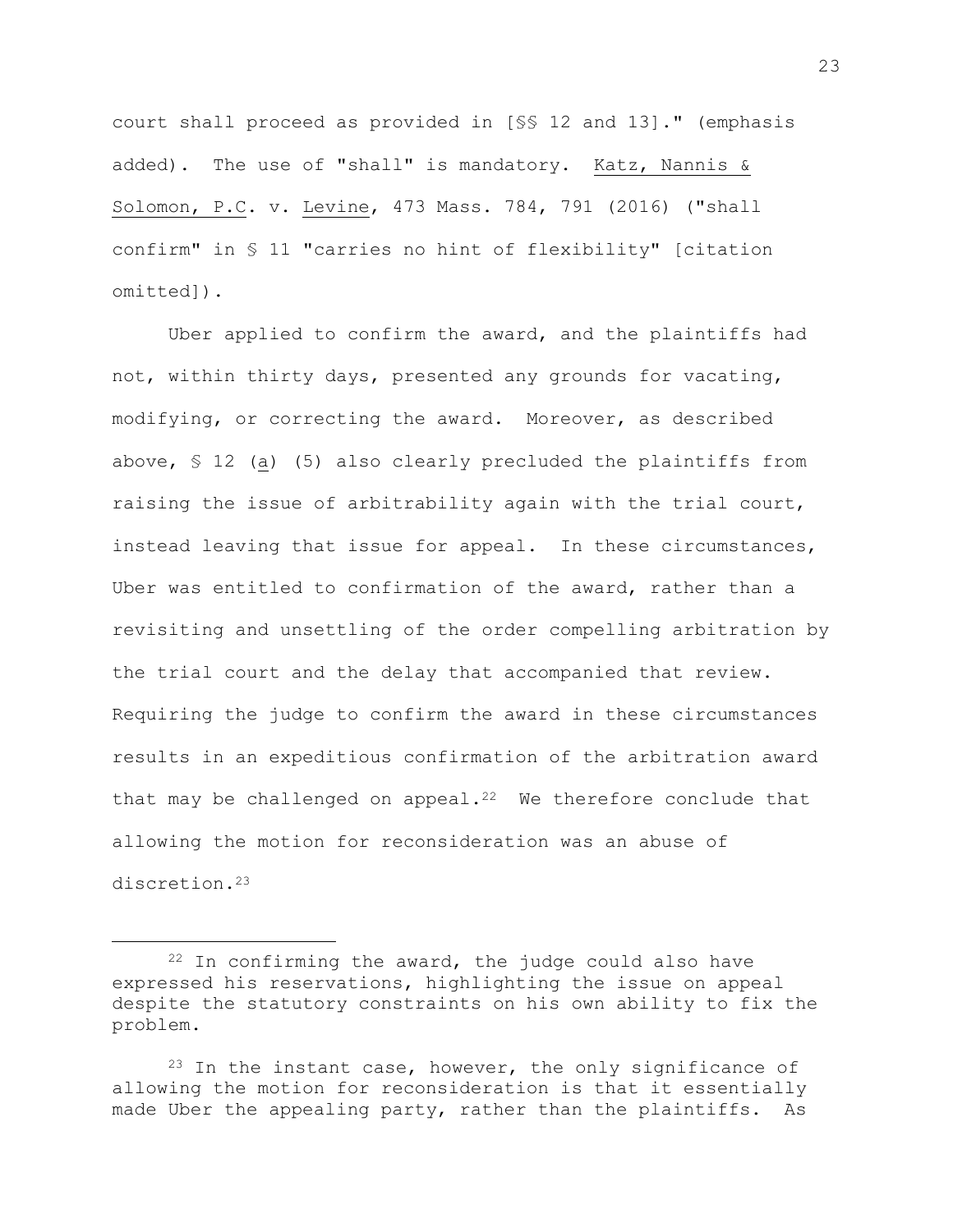court shall proceed as provided in [§§ 12 and 13]." (emphasis added). The use of "shall" is mandatory. Katz, Nannis & Solomon, P.C. v. Levine, 473 Mass. 784, 791 (2016) ("shall confirm" in § 11 "carries no hint of flexibility" [citation omitted]).

Uber applied to confirm the award, and the plaintiffs had not, within thirty days, presented any grounds for vacating, modifying, or correcting the award. Moreover, as described above, § 12 (a) (5) also clearly precluded the plaintiffs from raising the issue of arbitrability again with the trial court, instead leaving that issue for appeal. In these circumstances, Uber was entitled to confirmation of the award, rather than a revisiting and unsettling of the order compelling arbitration by the trial court and the delay that accompanied that review. Requiring the judge to confirm the award in these circumstances results in an expeditious confirmation of the arbitration award that may be challenged on appeal. $22$  We therefore conclude that allowing the motion for reconsideration was an abuse of discretion.<sup>23</sup>

 $22$  In confirming the award, the judge could also have expressed his reservations, highlighting the issue on appeal despite the statutory constraints on his own ability to fix the problem.

 $23$  In the instant case, however, the only significance of allowing the motion for reconsideration is that it essentially made Uber the appealing party, rather than the plaintiffs. As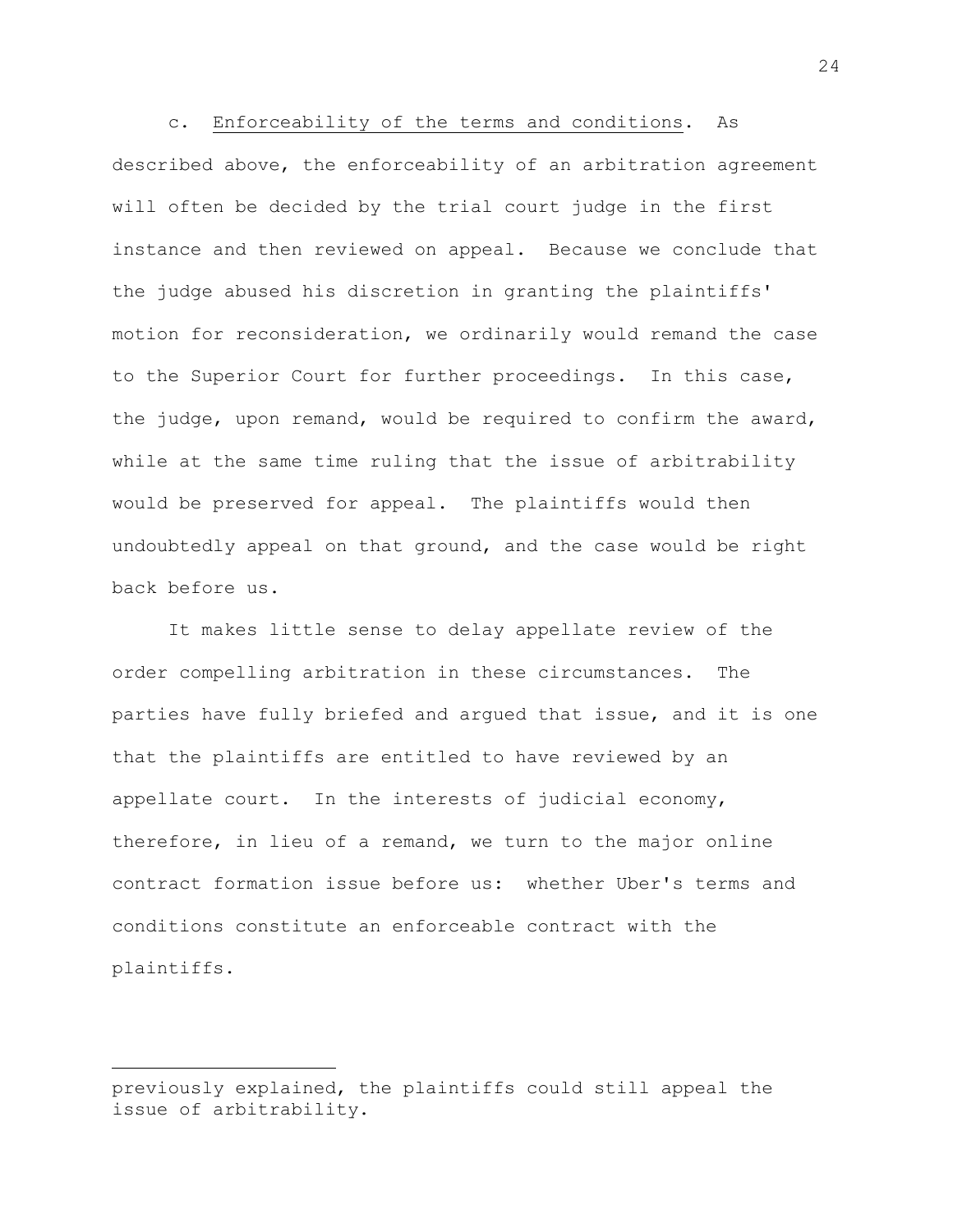c. Enforceability of the terms and conditions. As described above, the enforceability of an arbitration agreement will often be decided by the trial court judge in the first instance and then reviewed on appeal. Because we conclude that the judge abused his discretion in granting the plaintiffs' motion for reconsideration, we ordinarily would remand the case to the Superior Court for further proceedings. In this case, the judge, upon remand, would be required to confirm the award, while at the same time ruling that the issue of arbitrability would be preserved for appeal. The plaintiffs would then undoubtedly appeal on that ground, and the case would be right back before us.

It makes little sense to delay appellate review of the order compelling arbitration in these circumstances. The parties have fully briefed and argued that issue, and it is one that the plaintiffs are entitled to have reviewed by an appellate court. In the interests of judicial economy, therefore, in lieu of a remand, we turn to the major online contract formation issue before us: whether Uber's terms and conditions constitute an enforceable contract with the plaintiffs.

previously explained, the plaintiffs could still appeal the issue of arbitrability.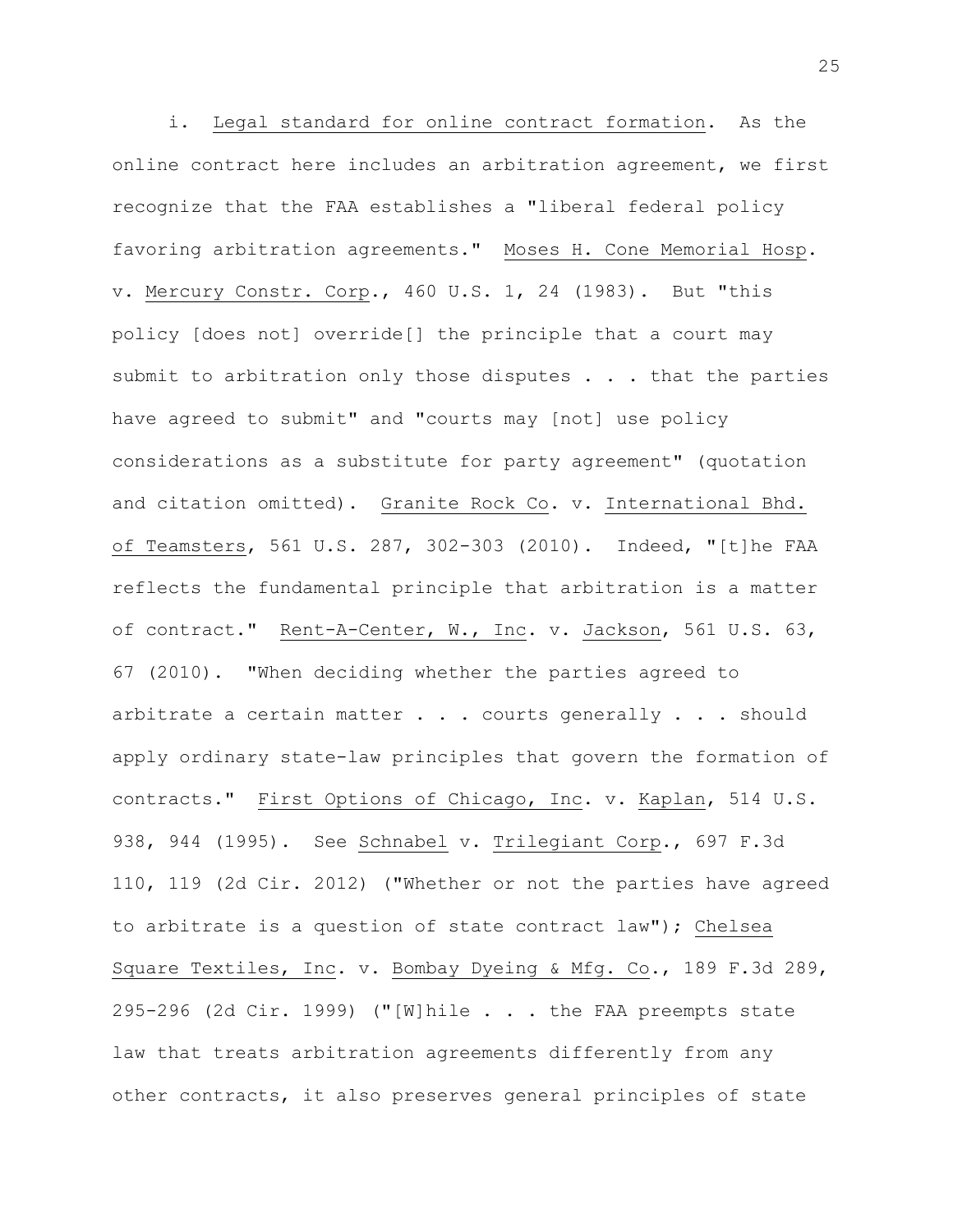i. Legal standard for online contract formation. As the online contract here includes an arbitration agreement, we first recognize that the FAA establishes a "liberal federal policy favoring arbitration agreements." Moses H. Cone Memorial Hosp. v. Mercury Constr. Corp., 460 U.S. 1, 24 (1983). But "this policy [does not] override[] the principle that a court may submit to arbitration only those disputes . . . that the parties have agreed to submit" and "courts may [not] use policy considerations as a substitute for party agreement" (quotation and citation omitted). Granite Rock Co. v. International Bhd. of Teamsters, 561 U.S. 287, 302-303 (2010). Indeed, "[t]he FAA reflects the fundamental principle that arbitration is a matter of contract." Rent-A-Center, W., Inc. v. Jackson, 561 U.S. 63, 67 (2010). "When deciding whether the parties agreed to arbitrate a certain matter . . . courts generally . . . should apply ordinary state-law principles that govern the formation of contracts." First Options of Chicago, Inc. v. Kaplan, 514 U.S. 938, 944 (1995). See Schnabel v. Trilegiant Corp., 697 F.3d 110, 119 (2d Cir. 2012) ("Whether or not the parties have agreed to arbitrate is a question of state contract law"); Chelsea Square Textiles, Inc. v. Bombay Dyeing & Mfg. Co., 189 F.3d 289, 295-296 (2d Cir. 1999) ("[W]hile . . . the FAA preempts state law that treats arbitration agreements differently from any other contracts, it also preserves general principles of state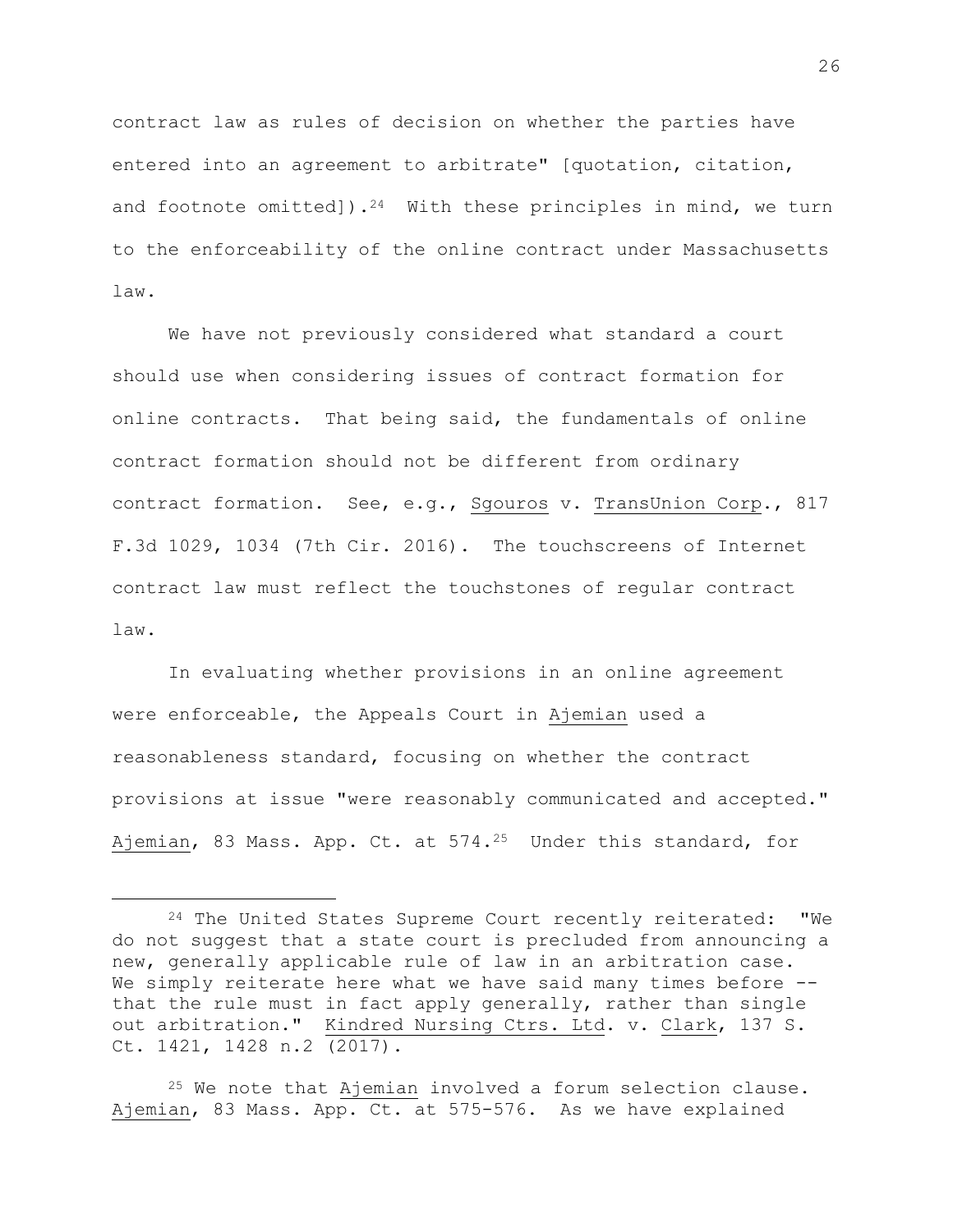contract law as rules of decision on whether the parties have entered into an agreement to arbitrate" [quotation, citation, and footnote omitted]).<sup>24</sup> With these principles in mind, we turn to the enforceability of the online contract under Massachusetts law.

We have not previously considered what standard a court should use when considering issues of contract formation for online contracts. That being said, the fundamentals of online contract formation should not be different from ordinary contract formation. See, e.g., Sgouros v. TransUnion Corp., 817 F.3d 1029, 1034 (7th Cir. 2016). The touchscreens of Internet contract law must reflect the touchstones of regular contract law.

In evaluating whether provisions in an online agreement were enforceable, the Appeals Court in Ajemian used a reasonableness standard, focusing on whether the contract provisions at issue "were reasonably communicated and accepted." Ajemian, 83 Mass. App. Ct. at 574.<sup>25</sup> Under this standard, for

÷.

 $25$  We note that Ajemian involved a forum selection clause. Ajemian, 83 Mass. App. Ct. at 575-576. As we have explained

 $24$  The United States Supreme Court recently reiterated: "We do not suggest that a state court is precluded from announcing a new, generally applicable rule of law in an arbitration case. We simply reiterate here what we have said many times before -that the rule must in fact apply generally, rather than single out arbitration." Kindred Nursing Ctrs. Ltd. v. Clark, 137 S. Ct. 1421, 1428 n.2 (2017).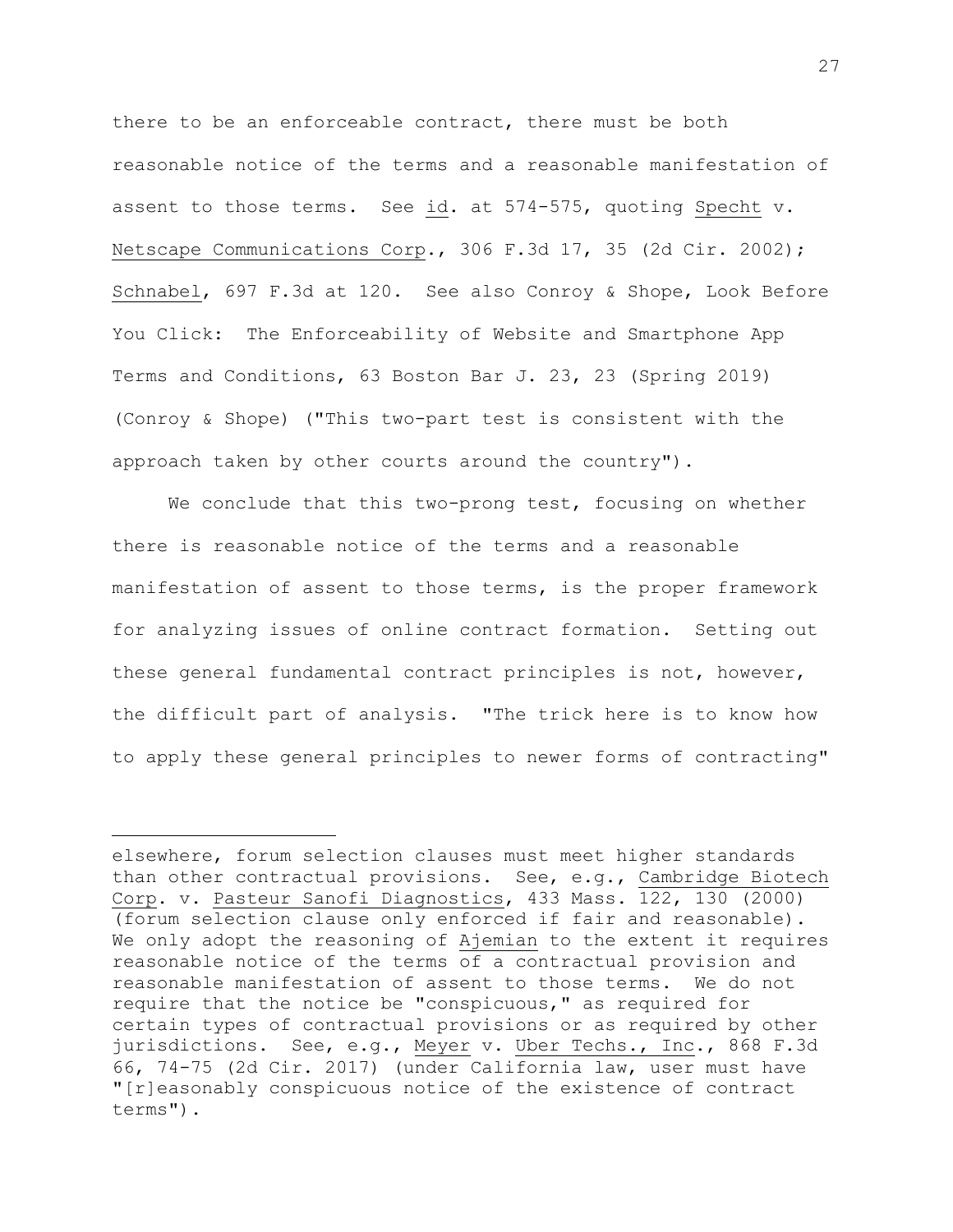there to be an enforceable contract, there must be both reasonable notice of the terms and a reasonable manifestation of assent to those terms. See id. at 574-575, quoting Specht v. Netscape Communications Corp., 306 F.3d 17, 35 (2d Cir. 2002); Schnabel, 697 F.3d at 120. See also Conroy & Shope, Look Before You Click: The Enforceability of Website and Smartphone App Terms and Conditions, 63 Boston Bar J. 23, 23 (Spring 2019) (Conroy & Shope) ("This two-part test is consistent with the approach taken by other courts around the country").

We conclude that this two-prong test, focusing on whether there is reasonable notice of the terms and a reasonable manifestation of assent to those terms, is the proper framework for analyzing issues of online contract formation. Setting out these general fundamental contract principles is not, however, the difficult part of analysis. "The trick here is to know how to apply these general principles to newer forms of contracting"

elsewhere, forum selection clauses must meet higher standards than other contractual provisions. See, e.g., Cambridge Biotech Corp. v. Pasteur Sanofi Diagnostics, 433 Mass. 122, 130 (2000) (forum selection clause only enforced if fair and reasonable). We only adopt the reasoning of Ajemian to the extent it requires reasonable notice of the terms of a contractual provision and reasonable manifestation of assent to those terms. We do not require that the notice be "conspicuous," as required for certain types of contractual provisions or as required by other jurisdictions**.** See, e.g., Meyer v. Uber Techs., Inc., 868 F.3d 66, 74-75 (2d Cir. 2017) (under California law, user must have "[r]easonably conspicuous notice of the existence of contract terms").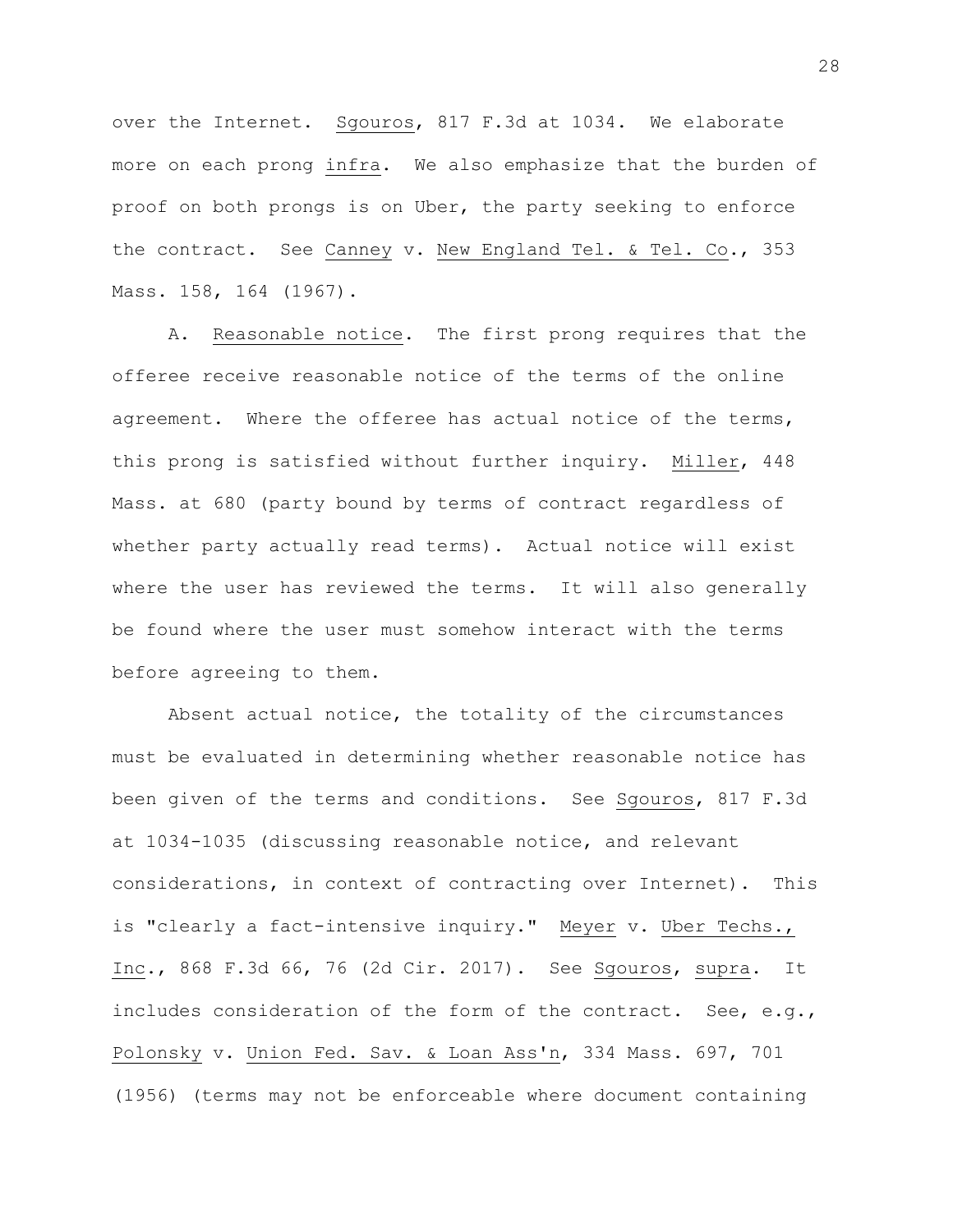over the Internet. Sgouros, 817 F.3d at 1034. We elaborate more on each prong infra. We also emphasize that the burden of proof on both prongs is on Uber, the party seeking to enforce the contract. See Canney v. New England Tel. & Tel. Co., 353 Mass. 158, 164 (1967).

A. Reasonable notice. The first prong requires that the offeree receive reasonable notice of the terms of the online agreement.Where the offeree has actual notice of the terms, this prong is satisfied without further inquiry. Miller, 448 Mass. at 680 (party bound by terms of contract regardless of whether party actually read terms). Actual notice will exist where the user has reviewed the terms. It will also generally be found where the user must somehow interact with the terms before agreeing to them.

Absent actual notice, the totality of the circumstances must be evaluated in determining whether reasonable notice has been given of the terms and conditions. See Sgouros, 817 F.3d at 1034-1035 (discussing reasonable notice, and relevant considerations, in context of contracting over Internet). This is "clearly a fact-intensive inquiry." Meyer v. Uber Techs., Inc., 868 F.3d 66, 76 (2d Cir. 2017). See Sgouros, supra. It includes consideration of the form of the contract. See, e.g., Polonsky v. Union Fed. Sav. & Loan Ass'n, 334 Mass. 697, 701 (1956) (terms may not be enforceable where document containing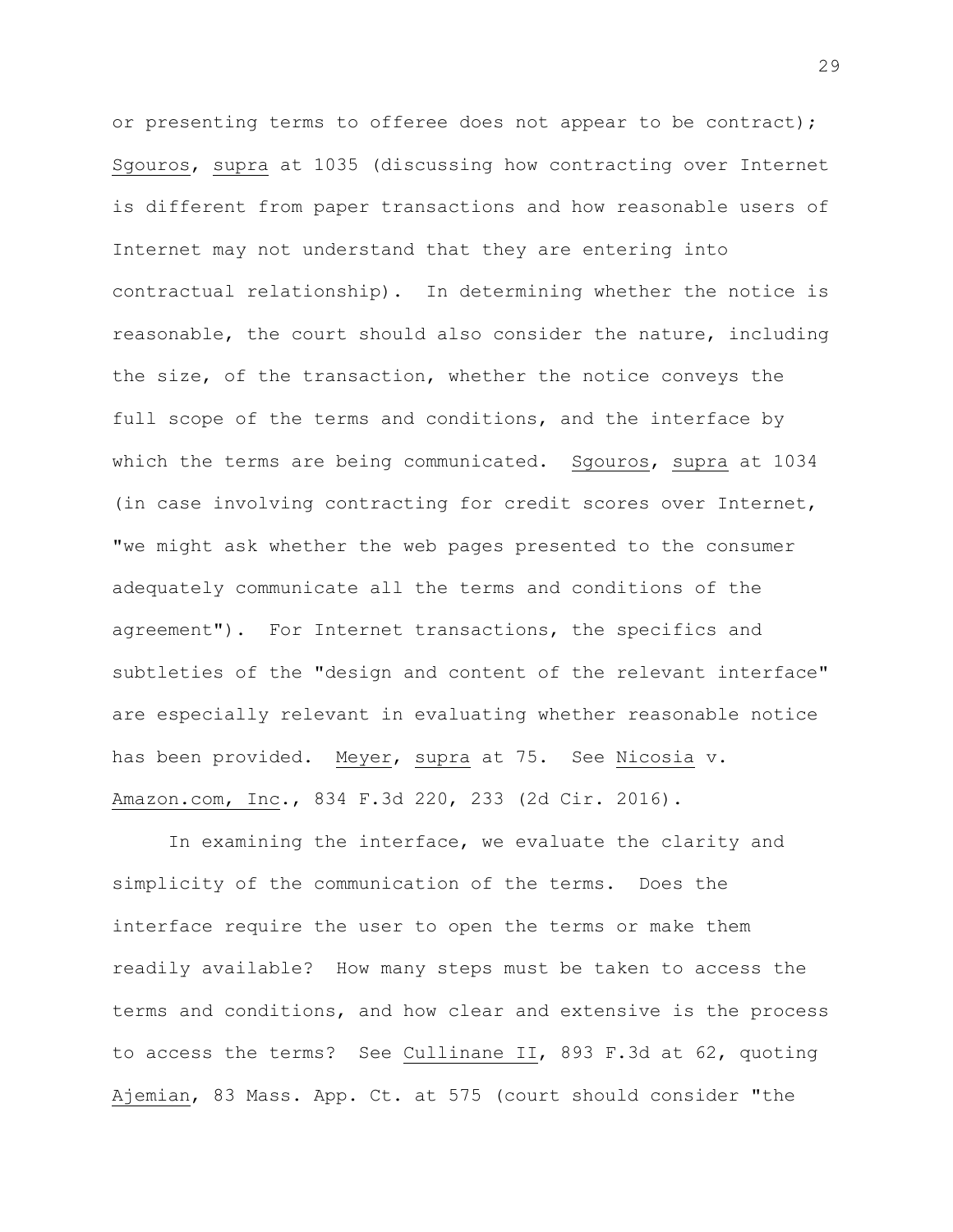or presenting terms to offeree does not appear to be contract); Sgouros, supra at 1035 (discussing how contracting over Internet is different from paper transactions and how reasonable users of Internet may not understand that they are entering into contractual relationship). In determining whether the notice is reasonable, the court should also consider the nature, including the size, of the transaction, whether the notice conveys the full scope of the terms and conditions, and the interface by which the terms are being communicated. Sgouros, supra at 1034 (in case involving contracting for credit scores over Internet, "we might ask whether the web pages presented to the consumer adequately communicate all the terms and conditions of the agreement"). For Internet transactions, the specifics and subtleties of the "design and content of the relevant interface" are especially relevant in evaluating whether reasonable notice has been provided. Meyer, supra at 75. See Nicosia v. Amazon.com, Inc., 834 F.3d 220, 233 (2d Cir. 2016).

In examining the interface, we evaluate the clarity and simplicity of the communication of the terms. Does the interface require the user to open the terms or make them readily available? How many steps must be taken to access the terms and conditions, and how clear and extensive is the process to access the terms? See Cullinane II, 893 F.3d at 62, quoting Ajemian, 83 Mass. App. Ct. at 575 (court should consider "the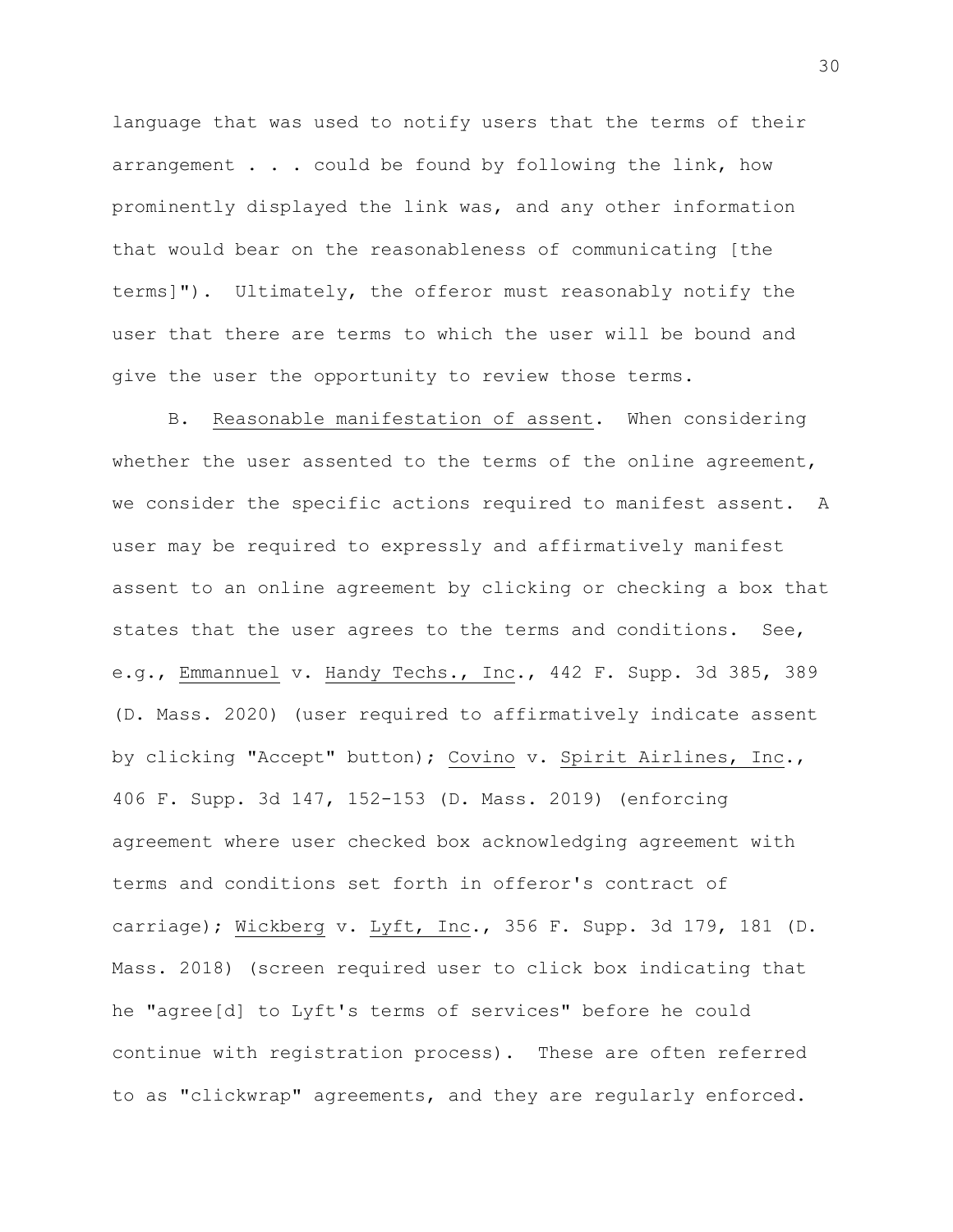language that was used to notify users that the terms of their arrangement . . . could be found by following the link, how prominently displayed the link was, and any other information that would bear on the reasonableness of communicating [the terms]"). Ultimately, the offeror must reasonably notify the user that there are terms to which the user will be bound and give the user the opportunity to review those terms.

B. Reasonable manifestation of assent. When considering whether the user assented to the terms of the online agreement, we consider the specific actions required to manifest assent. A user may be required to expressly and affirmatively manifest assent to an online agreement by clicking or checking a box that states that the user agrees to the terms and conditions. See, e.g., Emmannuel v. Handy Techs., Inc., 442 F. Supp. 3d 385, 389 (D. Mass. 2020) (user required to affirmatively indicate assent by clicking "Accept" button); Covino v. Spirit Airlines, Inc., 406 F. Supp. 3d 147, 152-153 (D. Mass. 2019) (enforcing agreement where user checked box acknowledging agreement with terms and conditions set forth in offeror's contract of carriage); Wickberg v. Lyft, Inc., 356 F. Supp. 3d 179, 181 (D. Mass. 2018) (screen required user to click box indicating that he "agree[d] to Lyft's terms of services" before he could continue with registration process). These are often referred to as "clickwrap" agreements, and they are regularly enforced.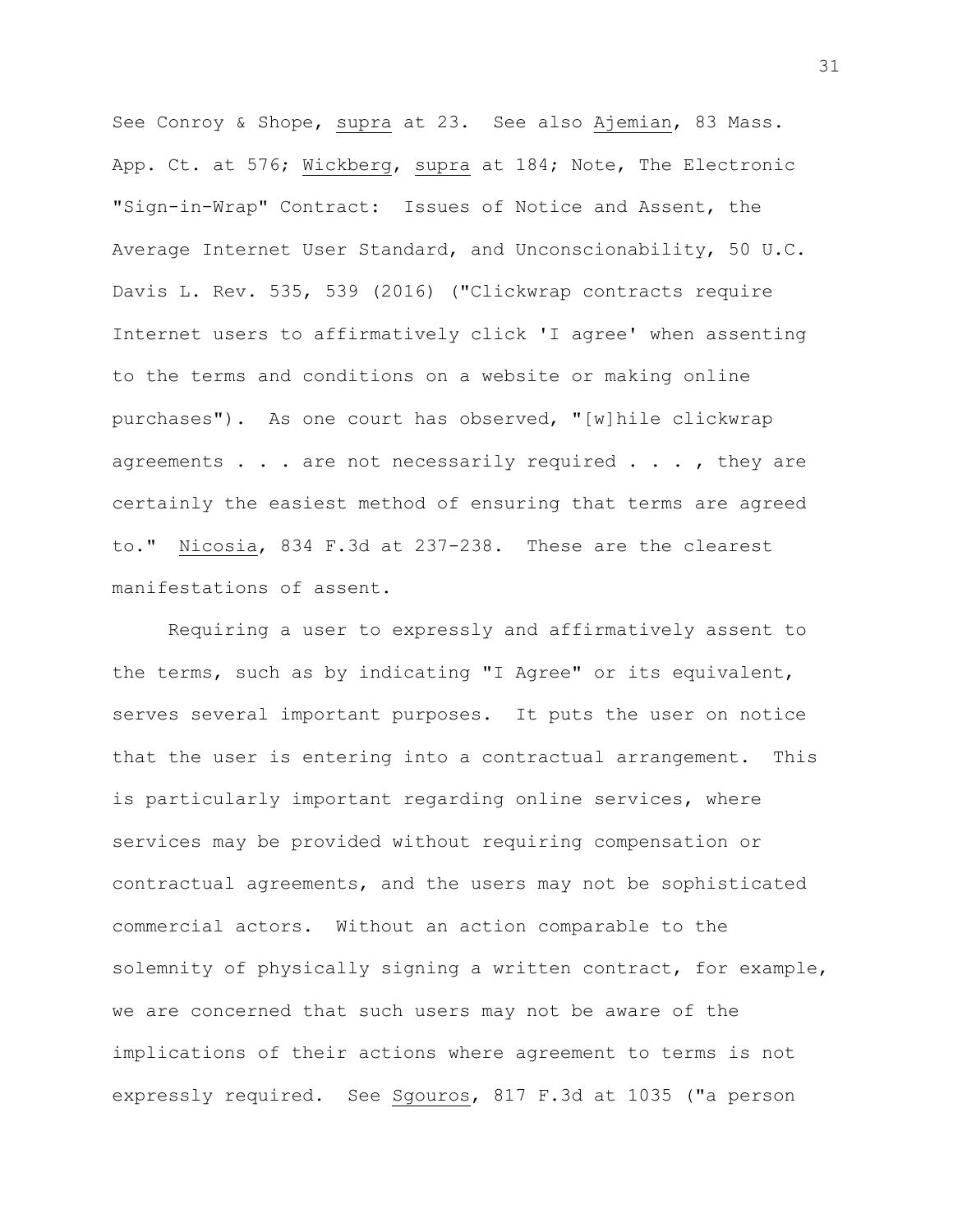See Conroy & Shope, supra at 23. See also Ajemian, 83 Mass. App. Ct. at 576; Wickberg, supra at 184; Note, The Electronic "Sign-in-Wrap" Contract: Issues of Notice and Assent, the Average Internet User Standard, and Unconscionability, 50 U.C. Davis L. Rev. 535, 539 (2016) ("Clickwrap contracts require Internet users to affirmatively click 'I agree' when assenting to the terms and conditions on a website or making online purchases"). As one court has observed, "[w]hile clickwrap agreements  $\ldots$  are not necessarily required  $\ldots$ , they are certainly the easiest method of ensuring that terms are agreed to." Nicosia, 834 F.3d at 237-238. These are the clearest manifestations of assent.

Requiring a user to expressly and affirmatively assent to the terms, such as by indicating "I Agree" or its equivalent, serves several important purposes. It puts the user on notice that the user is entering into a contractual arrangement. This is particularly important regarding online services, where services may be provided without requiring compensation or contractual agreements, and the users may not be sophisticated commercial actors. Without an action comparable to the solemnity of physically signing a written contract, for example, we are concerned that such users may not be aware of the implications of their actions where agreement to terms is not expressly required. See Sgouros, 817 F.3d at 1035 ("a person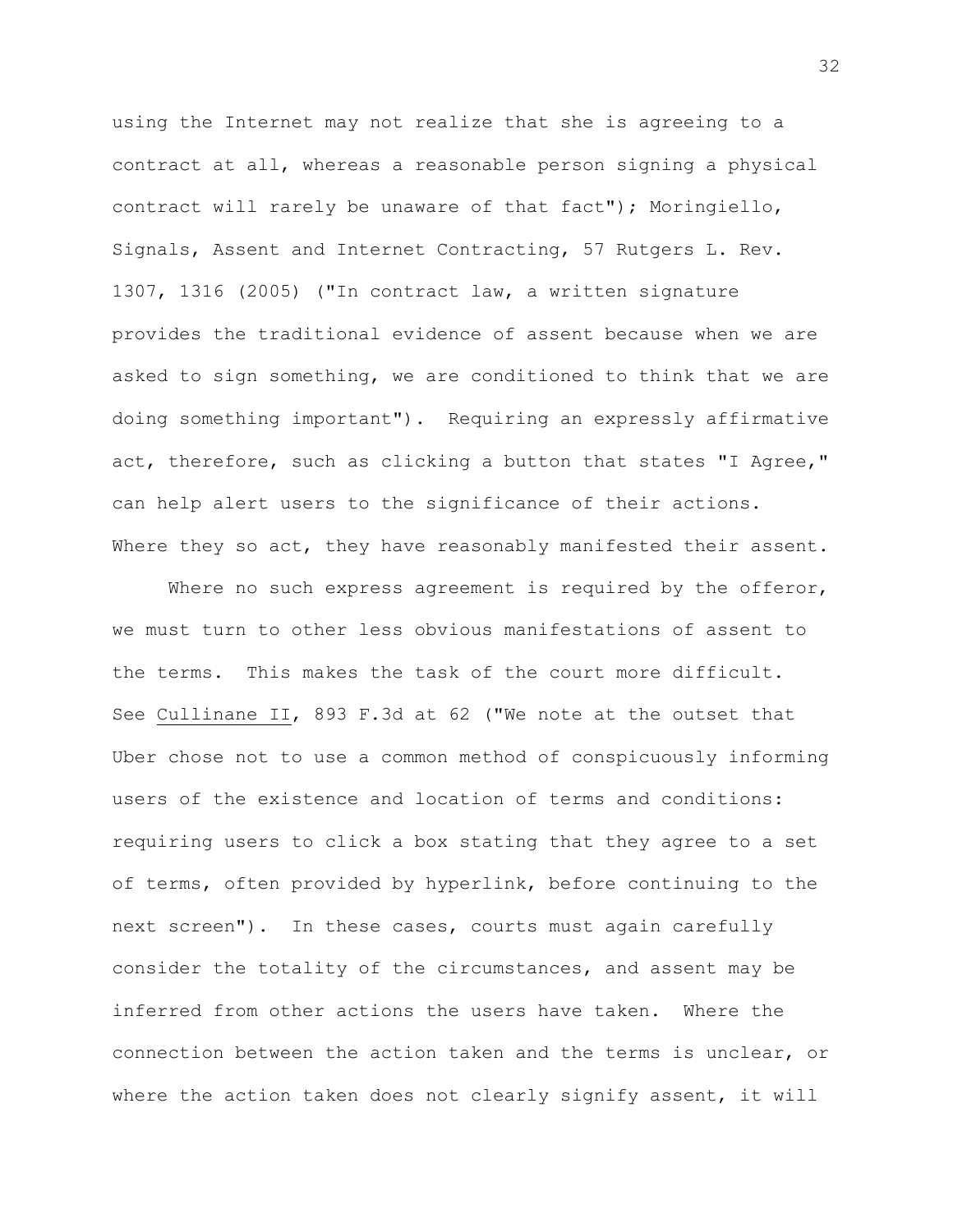using the Internet may not realize that she is agreeing to a contract at all, whereas a reasonable person signing a physical contract will rarely be unaware of that fact"); Moringiello, Signals, Assent and Internet Contracting, 57 Rutgers L. Rev. 1307, 1316 (2005) ("In contract law, a written signature provides the traditional evidence of assent because when we are asked to sign something, we are conditioned to think that we are doing something important"). Requiring an expressly affirmative act, therefore, such as clicking a button that states "I Agree," can help alert users to the significance of their actions. Where they so act, they have reasonably manifested their assent.

Where no such express agreement is required by the offeror, we must turn to other less obvious manifestations of assent to the terms. This makes the task of the court more difficult. See Cullinane II, 893 F.3d at 62 ("We note at the outset that Uber chose not to use a common method of conspicuously informing users of the existence and location of terms and conditions: requiring users to click a box stating that they agree to a set of terms, often provided by hyperlink, before continuing to the next screen"). In these cases, courts must again carefully consider the totality of the circumstances, and assent may be inferred from other actions the users have taken. Where the connection between the action taken and the terms is unclear, or where the action taken does not clearly signify assent, it will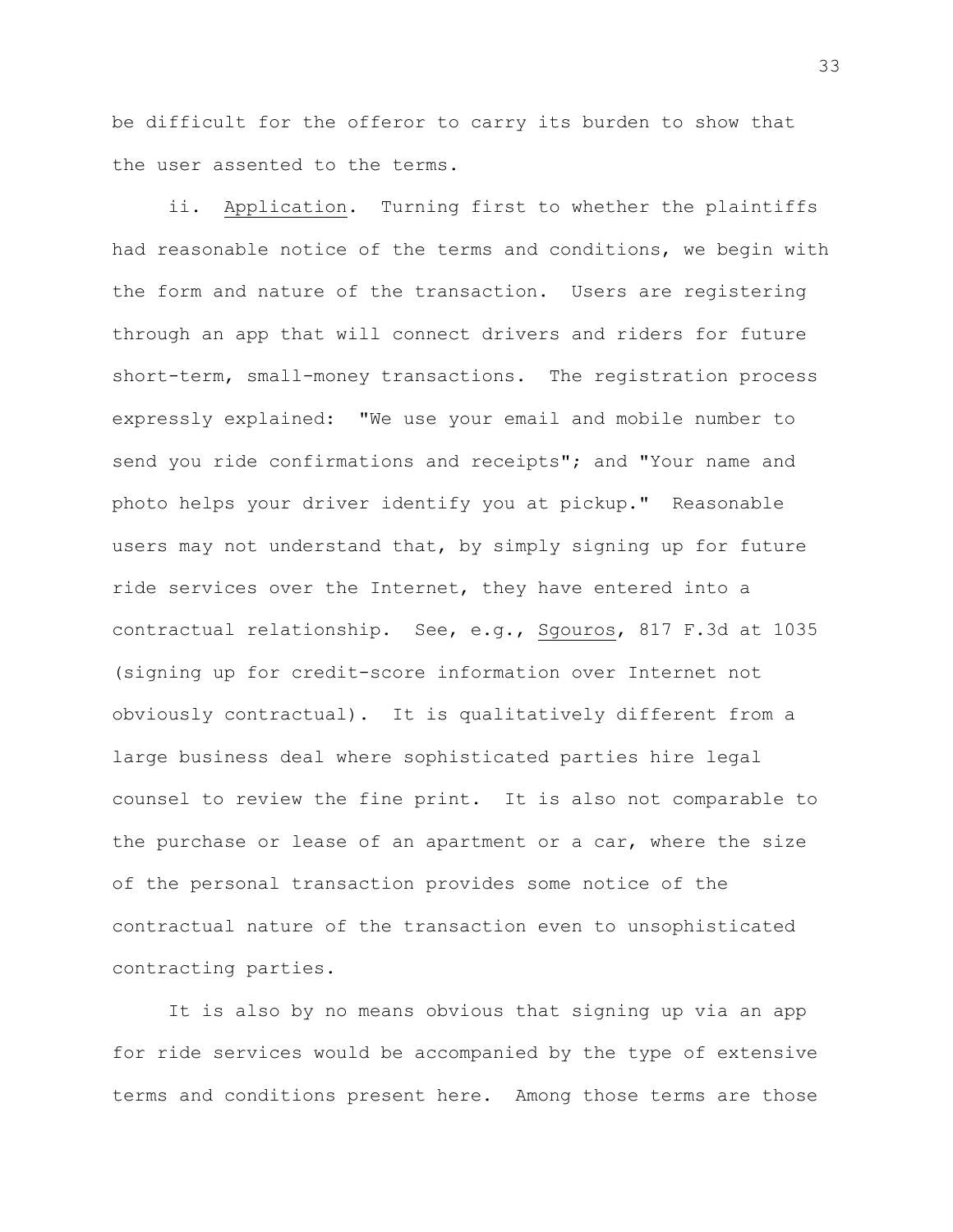be difficult for the offeror to carry its burden to show that the user assented to the terms.

ii. Application. Turning first to whether the plaintiffs had reasonable notice of the terms and conditions, we begin with the form and nature of the transaction. Users are registering through an app that will connect drivers and riders for future short-term, small-money transactions. The registration process expressly explained: "We use your email and mobile number to send you ride confirmations and receipts"; and "Your name and photo helps your driver identify you at pickup." Reasonable users may not understand that, by simply signing up for future ride services over the Internet, they have entered into a contractual relationship. See, e.g., Sgouros, 817 F.3d at 1035 (signing up for credit-score information over Internet not obviously contractual). It is qualitatively different from a large business deal where sophisticated parties hire legal counsel to review the fine print. It is also not comparable to the purchase or lease of an apartment or a car, where the size of the personal transaction provides some notice of the contractual nature of the transaction even to unsophisticated contracting parties.

It is also by no means obvious that signing up via an app for ride services would be accompanied by the type of extensive terms and conditions present here. Among those terms are those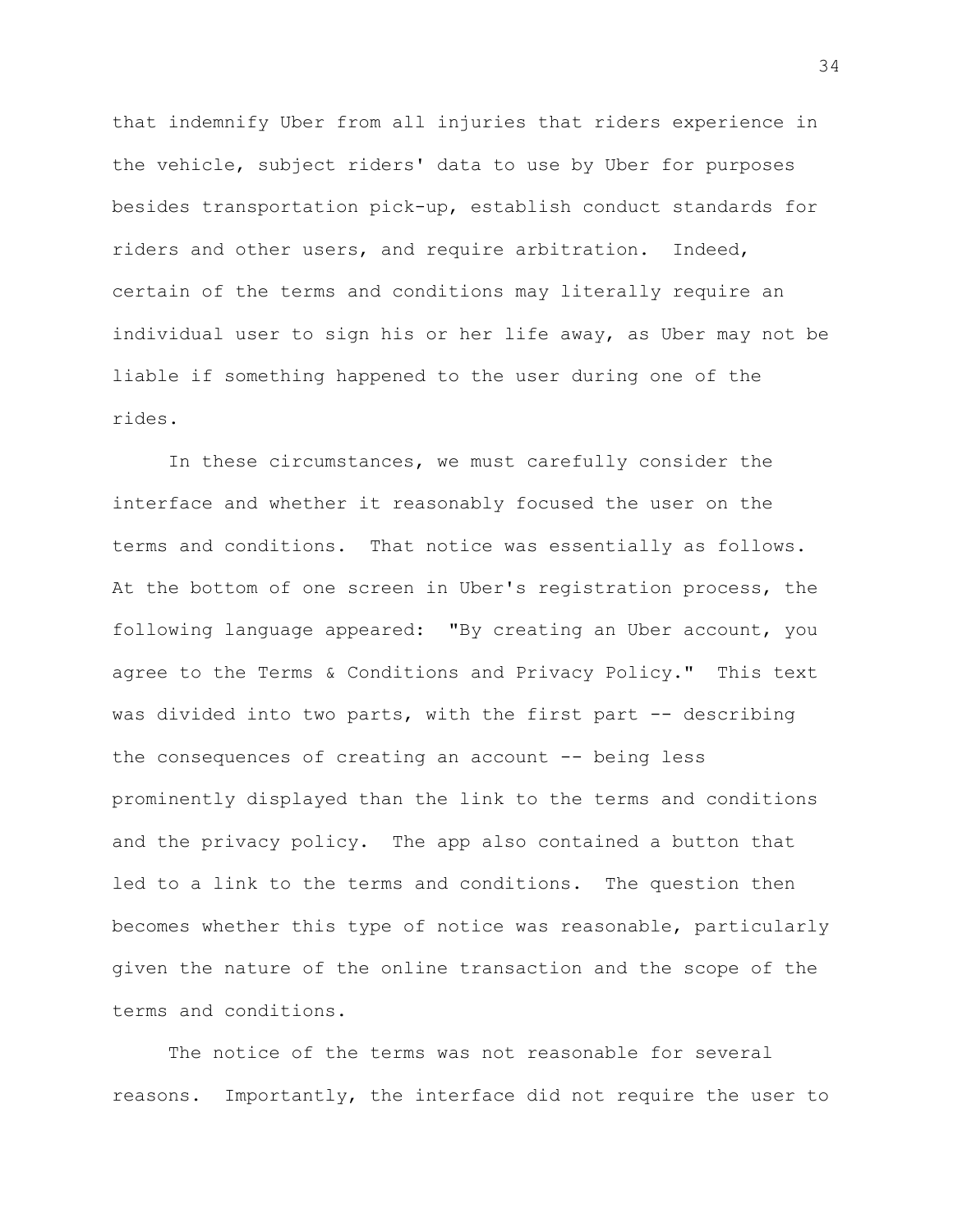that indemnify Uber from all injuries that riders experience in the vehicle, subject riders' data to use by Uber for purposes besides transportation pick-up, establish conduct standards for riders and other users, and require arbitration. Indeed, certain of the terms and conditions may literally require an individual user to sign his or her life away, as Uber may not be liable if something happened to the user during one of the rides.

In these circumstances, we must carefully consider the interface and whether it reasonably focused the user on the terms and conditions. That notice was essentially as follows. At the bottom of one screen in Uber's registration process, the following language appeared: "By creating an Uber account, you agree to the Terms & Conditions and Privacy Policy." This text was divided into two parts, with the first part -- describing the consequences of creating an account -- being less prominently displayed than the link to the terms and conditions and the privacy policy. The app also contained a button that led to a link to the terms and conditions. The question then becomes whether this type of notice was reasonable, particularly given the nature of the online transaction and the scope of the terms and conditions.

The notice of the terms was not reasonable for several reasons.Importantly, the interface did not require the user to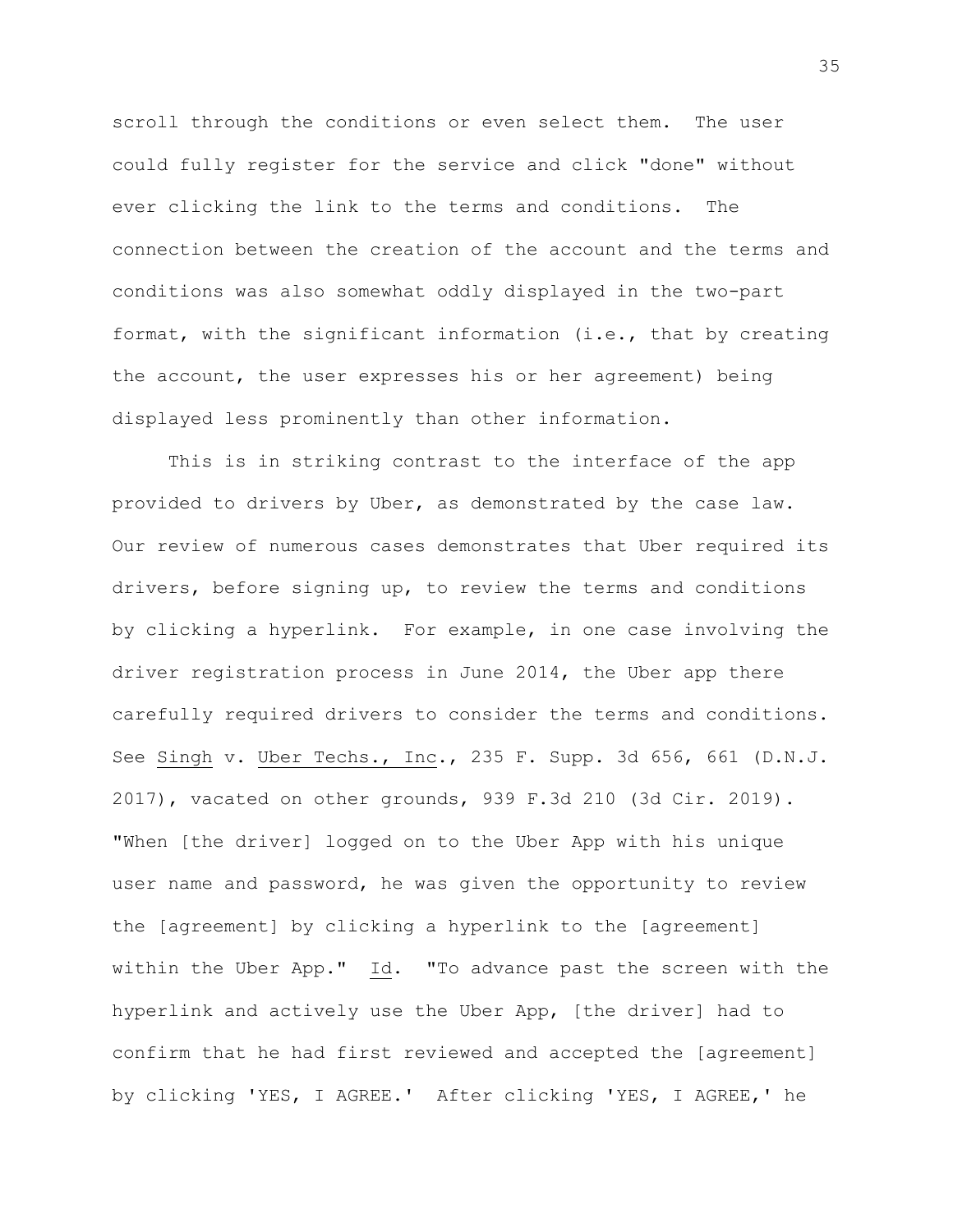scroll through the conditions or even select them. The user could fully register for the service and click "done" without ever clicking the link to the terms and conditions. The connection between the creation of the account and the terms and conditions was also somewhat oddly displayed in the two-part format, with the significant information (i.e., that by creating the account, the user expresses his or her agreement) being displayed less prominently than other information.

This is in striking contrast to the interface of the app provided to drivers by Uber, as demonstrated by the case law. Our review of numerous cases demonstrates that Uber required its drivers, before signing up, to review the terms and conditions by clicking a hyperlink. For example, in one case involving the driver registration process in June 2014, the Uber app there carefully required drivers to consider the terms and conditions. See Singh v. Uber Techs., Inc., 235 F. Supp. 3d 656, 661 (D.N.J. 2017), vacated on other grounds, 939 F.3d 210 (3d Cir. 2019). "When [the driver] logged on to the Uber App with his unique user name and password, he was given the opportunity to review the [agreement] by clicking a hyperlink to the [agreement] within the Uber App."  $Id.$  "To advance past the screen with the hyperlink and actively use the Uber App, [the driver] had to confirm that he had first reviewed and accepted the [agreement] by clicking 'YES, I AGREE.' After clicking 'YES, I AGREE,' he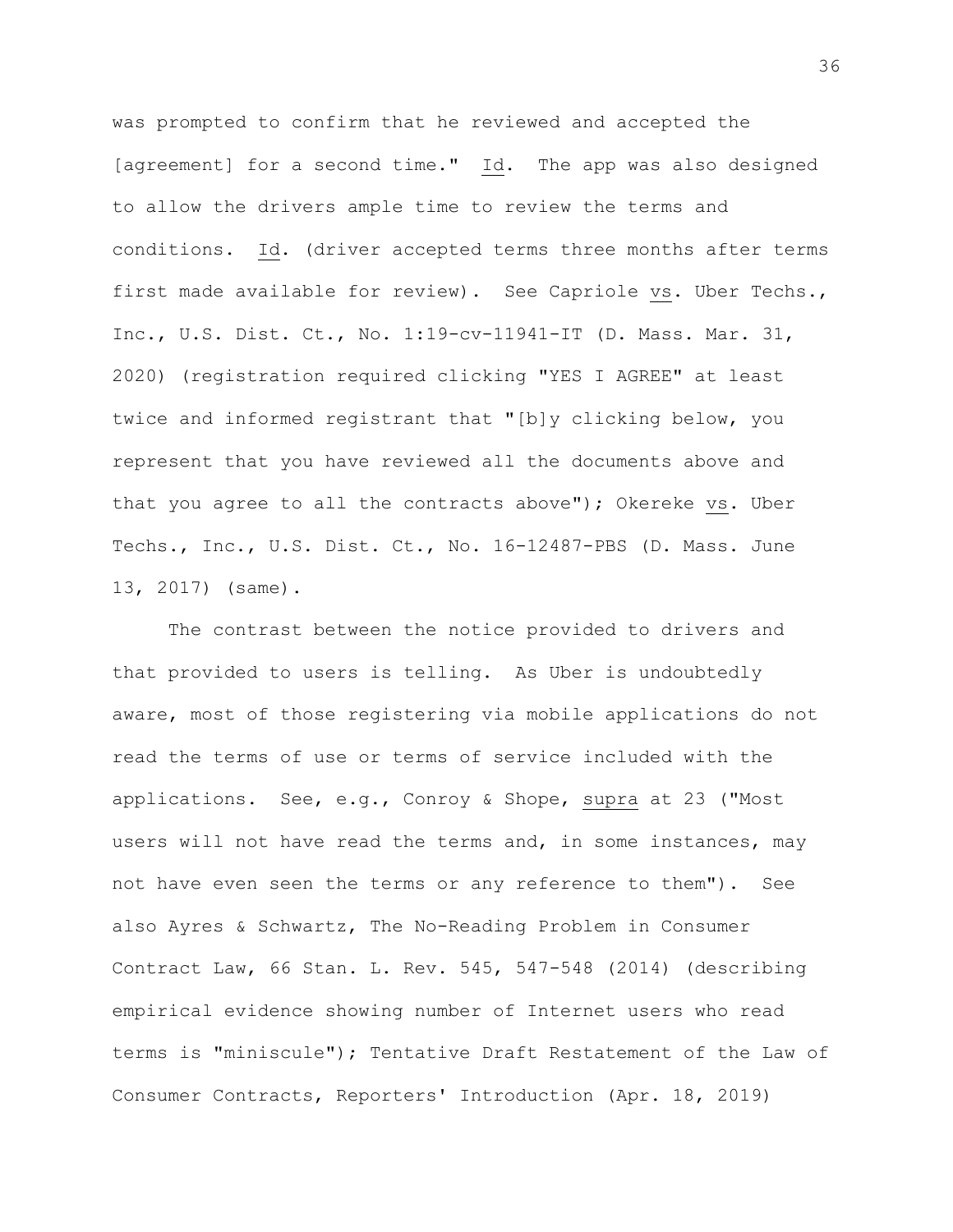was prompted to confirm that he reviewed and accepted the [agreement] for a second time." Id. The app was also designed to allow the drivers ample time to review the terms and conditions. Id. (driver accepted terms three months after terms first made available for review). See Capriole vs. Uber Techs., Inc., U.S. Dist. Ct., No. 1:19-cv-11941-IT (D. Mass. Mar. 31, 2020) (registration required clicking "YES I AGREE" at least twice and informed registrant that "[b]y clicking below, you represent that you have reviewed all the documents above and that you agree to all the contracts above"); Okereke vs. Uber Techs., Inc., U.S. Dist. Ct., No. 16-12487-PBS (D. Mass. June 13, 2017) (same).

The contrast between the notice provided to drivers and that provided to users is telling. As Uber is undoubtedly aware, most of those registering via mobile applications do not read the terms of use or terms of service included with the applications. See, e.g., Conroy & Shope, supra at 23 ("Most users will not have read the terms and, in some instances, may not have even seen the terms or any reference to them"). See also Ayres & Schwartz, The No-Reading Problem in Consumer Contract Law, 66 Stan. L. Rev. 545, 547-548 (2014) (describing empirical evidence showing number of Internet users who read terms is "miniscule"); Tentative Draft Restatement of the Law of Consumer Contracts, Reporters' Introduction (Apr. 18, 2019)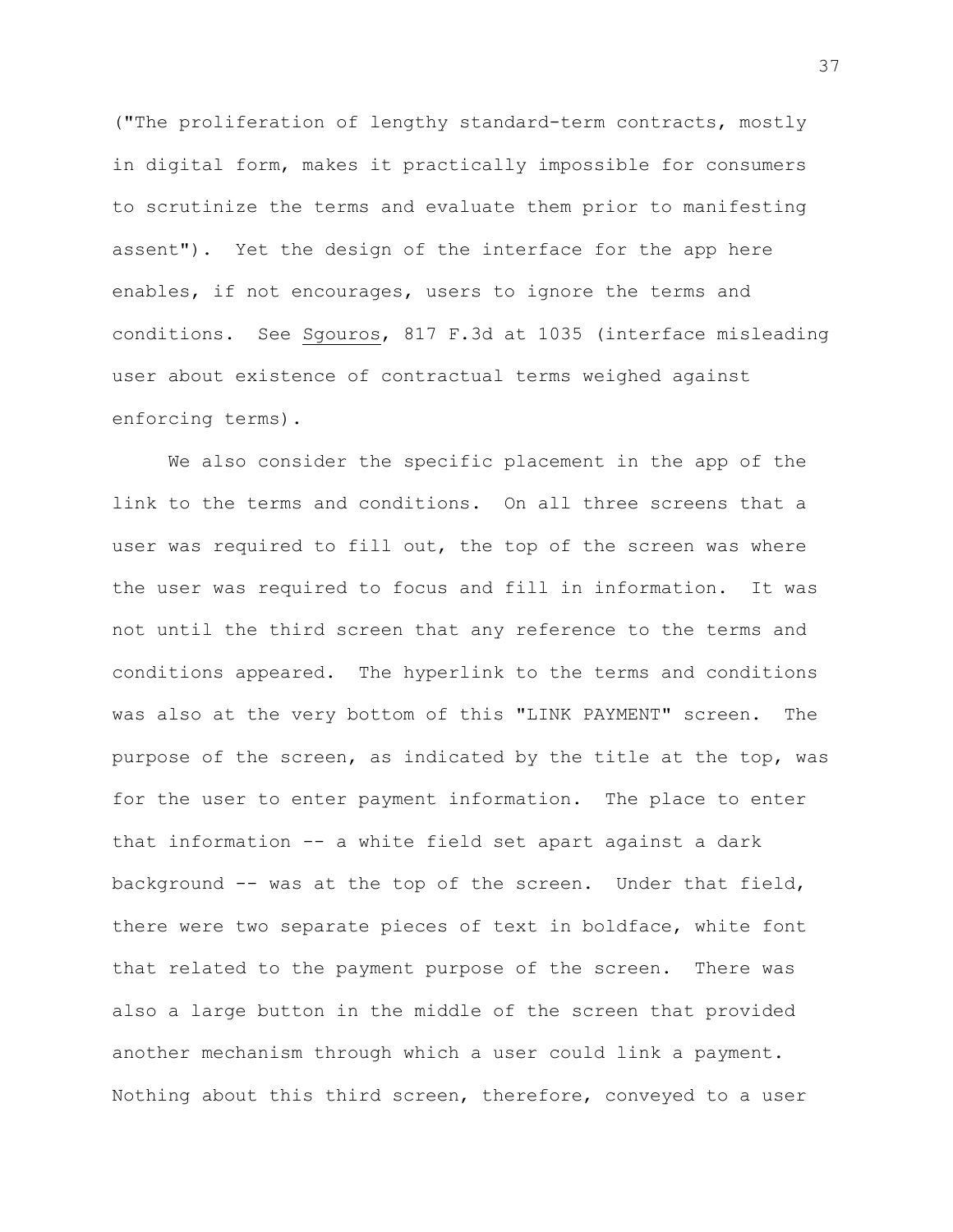("The proliferation of lengthy standard-term contracts, mostly in digital form, makes it practically impossible for consumers to scrutinize the terms and evaluate them prior to manifesting assent"). Yet the design of the interface for the app here enables, if not encourages, users to ignore the terms and conditions. See Sgouros, 817 F.3d at 1035 (interface misleading user about existence of contractual terms weighed against enforcing terms).

We also consider the specific placement in the app of the link to the terms and conditions. On all three screens that a user was required to fill out, the top of the screen was where the user was required to focus and fill in information. It was not until the third screen that any reference to the terms and conditions appeared. The hyperlink to the terms and conditions was also at the very bottom of this "LINK PAYMENT" screen. The purpose of the screen, as indicated by the title at the top, was for the user to enter payment information. The place to enter that information -- a white field set apart against a dark background  $--$  was at the top of the screen. Under that field, there were two separate pieces of text in boldface, white font that related to the payment purpose of the screen. There was also a large button in the middle of the screen that provided another mechanism through which a user could link a payment. Nothing about this third screen, therefore, conveyed to a user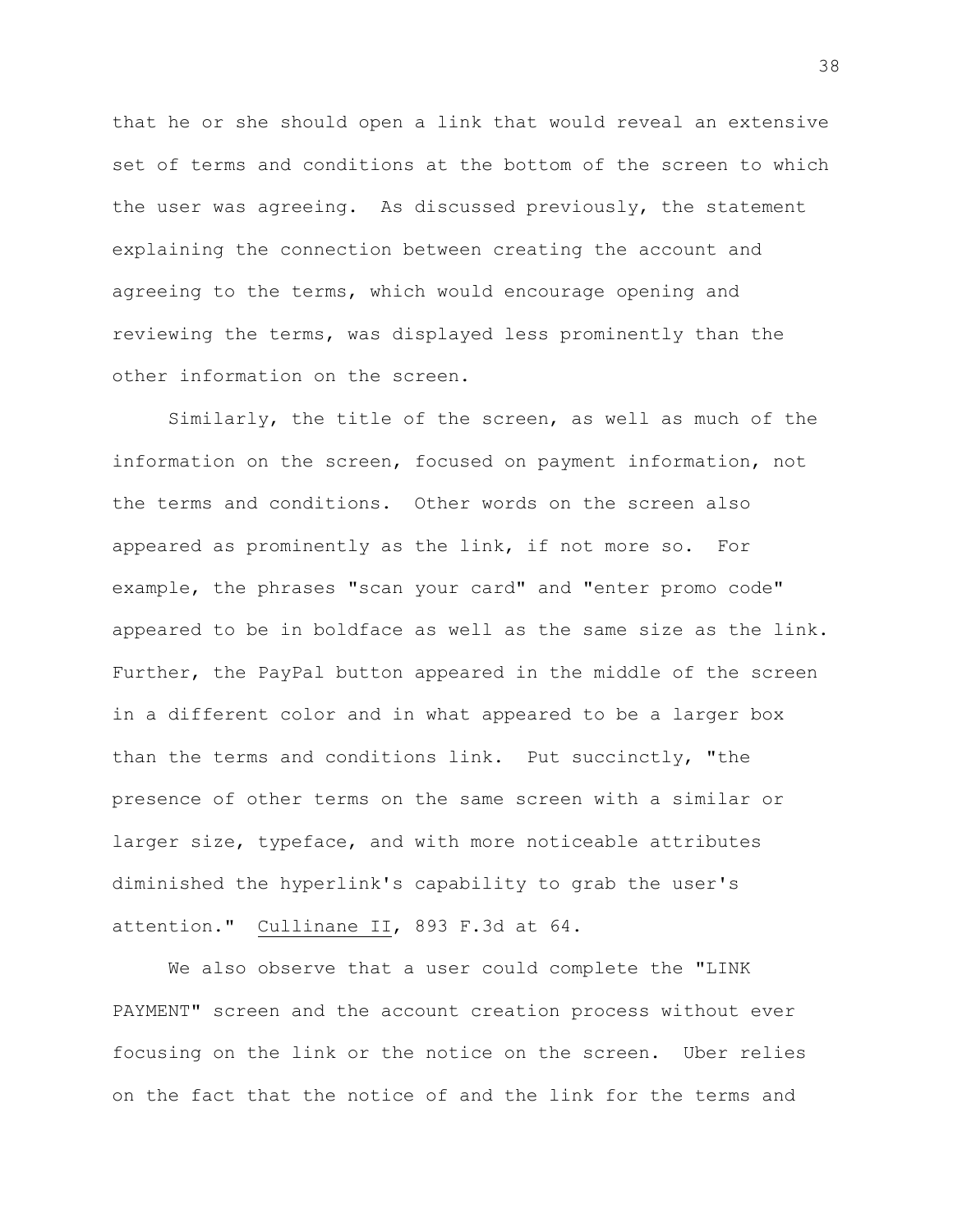that he or she should open a link that would reveal an extensive set of terms and conditions at the bottom of the screen to which the user was agreeing. As discussed previously, the statement explaining the connection between creating the account and agreeing to the terms, which would encourage opening and reviewing the terms, was displayed less prominently than the other information on the screen.

Similarly, the title of the screen, as well as much of the information on the screen, focused on payment information, not the terms and conditions. Other words on the screen also appeared as prominently as the link, if not more so. For example, the phrases "scan your card" and "enter promo code" appeared to be in boldface as well as the same size as the link. Further, the PayPal button appeared in the middle of the screen in a different color and in what appeared to be a larger box than the terms and conditions link. Put succinctly, "the presence of other terms on the same screen with a similar or larger size, typeface, and with more noticeable attributes diminished the hyperlink's capability to grab the user's attention." Cullinane II, 893 F.3d at 64.

We also observe that a user could complete the "LINK PAYMENT" screen and the account creation process without ever focusing on the link or the notice on the screen. Uber relies on the fact that the notice of and the link for the terms and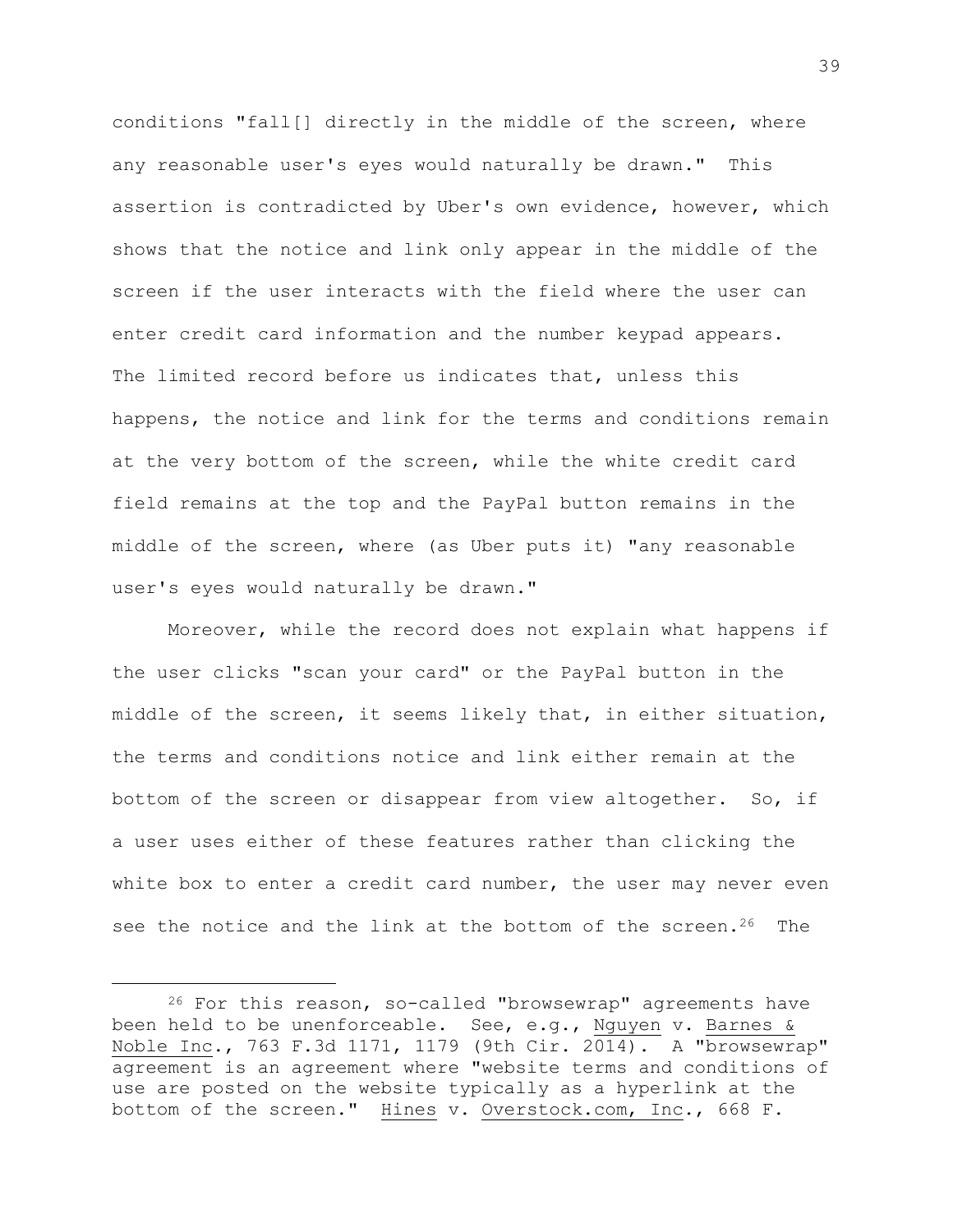conditions "fall[] directly in the middle of the screen, where any reasonable user's eyes would naturally be drawn." This assertion is contradicted by Uber's own evidence, however, which shows that the notice and link only appear in the middle of the screen if the user interacts with the field where the user can enter credit card information and the number keypad appears. The limited record before us indicates that, unless this happens, the notice and link for the terms and conditions remain at the very bottom of the screen, while the white credit card field remains at the top and the PayPal button remains in the middle of the screen, where (as Uber puts it) "any reasonable user's eyes would naturally be drawn."

Moreover, while the record does not explain what happens if the user clicks "scan your card" or the PayPal button in the middle of the screen, it seems likely that, in either situation, the terms and conditions notice and link either remain at the bottom of the screen or disappear from view altogether. So, if a user uses either of these features rather than clicking the white box to enter a credit card number, the user may never even see the notice and the link at the bottom of the screen.<sup>26</sup> The

L,

 $26$  For this reason, so-called "browsewrap" agreements have been held to be unenforceable. See, e.g., Nguyen v. Barnes & Noble Inc., 763 F.3d 1171, 1179 (9th Cir. 2014). A "browsewrap" agreement is an agreement where "website terms and conditions of use are posted on the website typically as a hyperlink at the bottom of the screen." Hines v. Overstock.com, Inc., 668 F.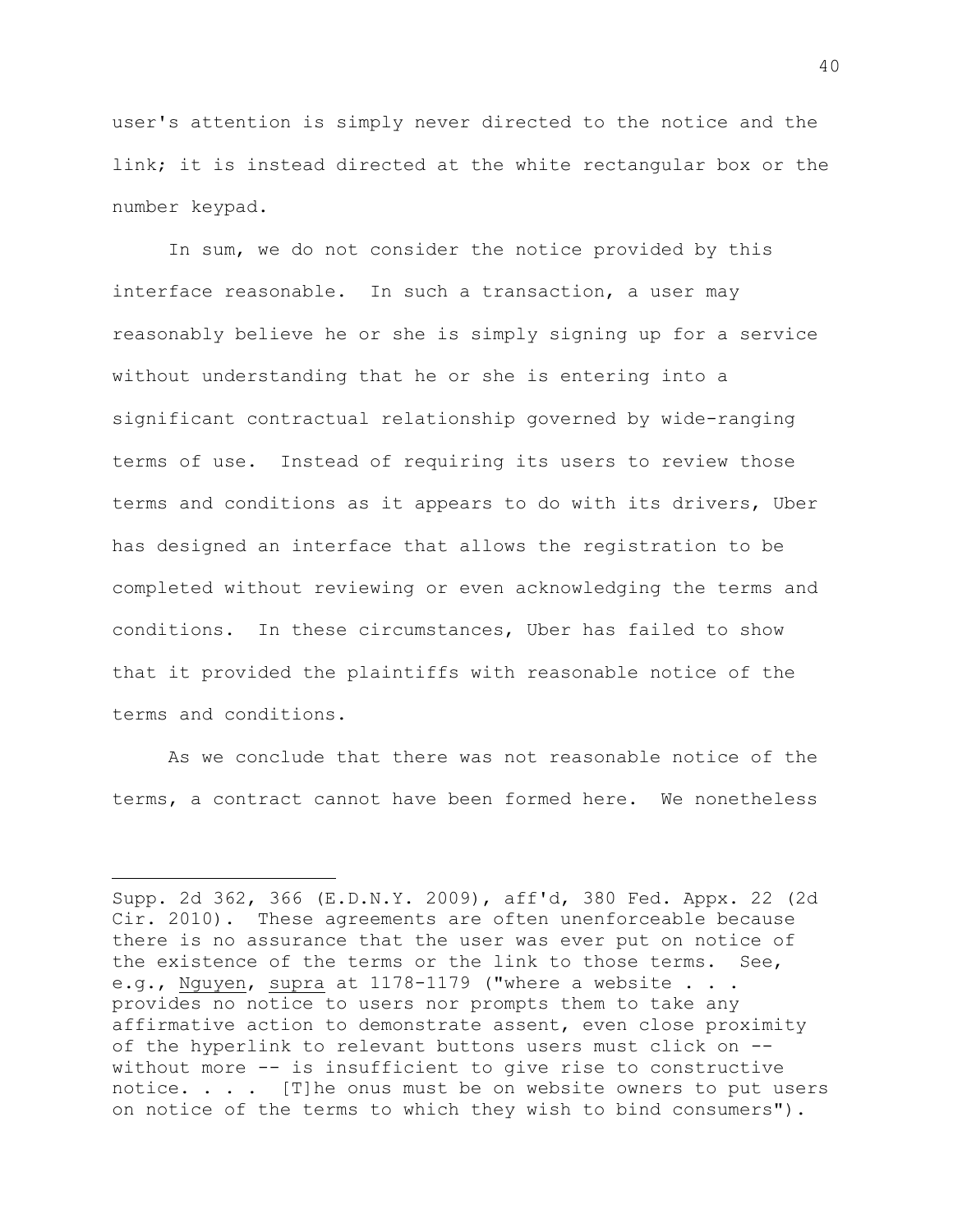user's attention is simply never directed to the notice and the link; it is instead directed at the white rectangular box or the number keypad.

In sum, we do not consider the notice provided by this interface reasonable. In such a transaction, a user may reasonably believe he or she is simply signing up for a service without understanding that he or she is entering into a significant contractual relationship governed by wide-ranging terms of use. Instead of requiring its users to review those terms and conditions as it appears to do with its drivers, Uber has designed an interface that allows the registration to be completed without reviewing or even acknowledging the terms and conditions. In these circumstances, Uber has failed to show that it provided the plaintiffs with reasonable notice of the terms and conditions.

As we conclude that there was not reasonable notice of the terms, a contract cannot have been formed here. We nonetheless

i<br>L

Supp. 2d 362, 366 (E.D.N.Y. 2009), aff'd, 380 Fed. Appx. 22 (2d Cir. 2010). These agreements are often unenforceable because there is no assurance that the user was ever put on notice of the existence of the terms or the link to those terms. See, e.g., Nguyen, supra at 1178-1179 ("where a website . . . provides no notice to users nor prompts them to take any affirmative action to demonstrate assent, even close proximity of the hyperlink to relevant buttons users must click on - without more -- is insufficient to give rise to constructive notice. . . . [T]he onus must be on website owners to put users on notice of the terms to which they wish to bind consumers").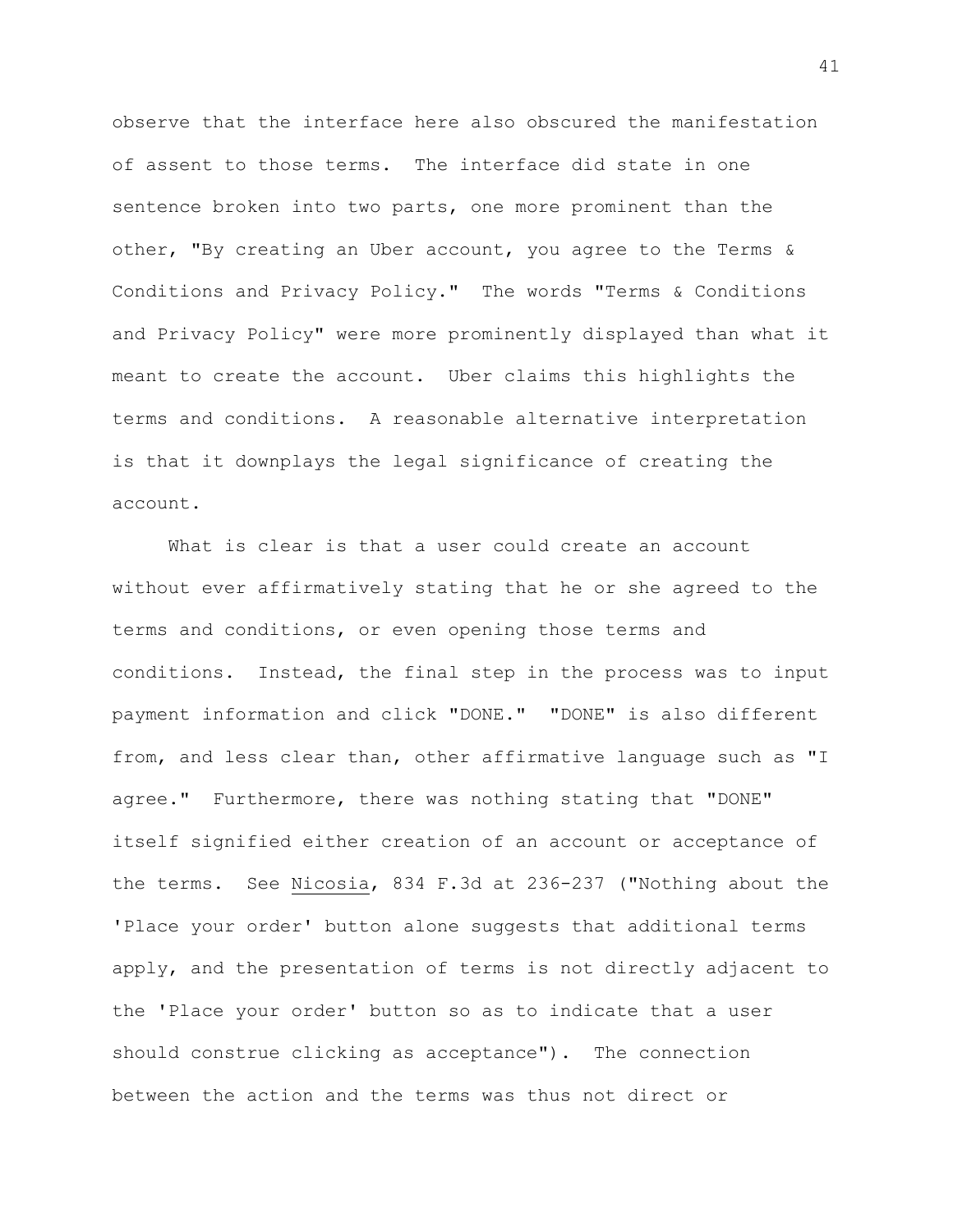observe that the interface here also obscured the manifestation of assent to those terms. The interface did state in one sentence broken into two parts, one more prominent than the other, "By creating an Uber account, you agree to the Terms & Conditions and Privacy Policy." The words "Terms & Conditions and Privacy Policy" were more prominently displayed than what it meant to create the account. Uber claims this highlights the terms and conditions. A reasonable alternative interpretation is that it downplays the legal significance of creating the account.

What is clear is that a user could create an account without ever affirmatively stating that he or she agreed to the terms and conditions, or even opening those terms and conditions. Instead, the final step in the process was to input payment information and click "DONE." "DONE" is also different from, and less clear than, other affirmative language such as "I agree." Furthermore, there was nothing stating that "DONE" itself signified either creation of an account or acceptance of the terms. See Nicosia, 834 F.3d at 236-237 ("Nothing about the 'Place your order' button alone suggests that additional terms apply, and the presentation of terms is not directly adjacent to the 'Place your order' button so as to indicate that a user should construe clicking as acceptance"). The connection between the action and the terms was thus not direct or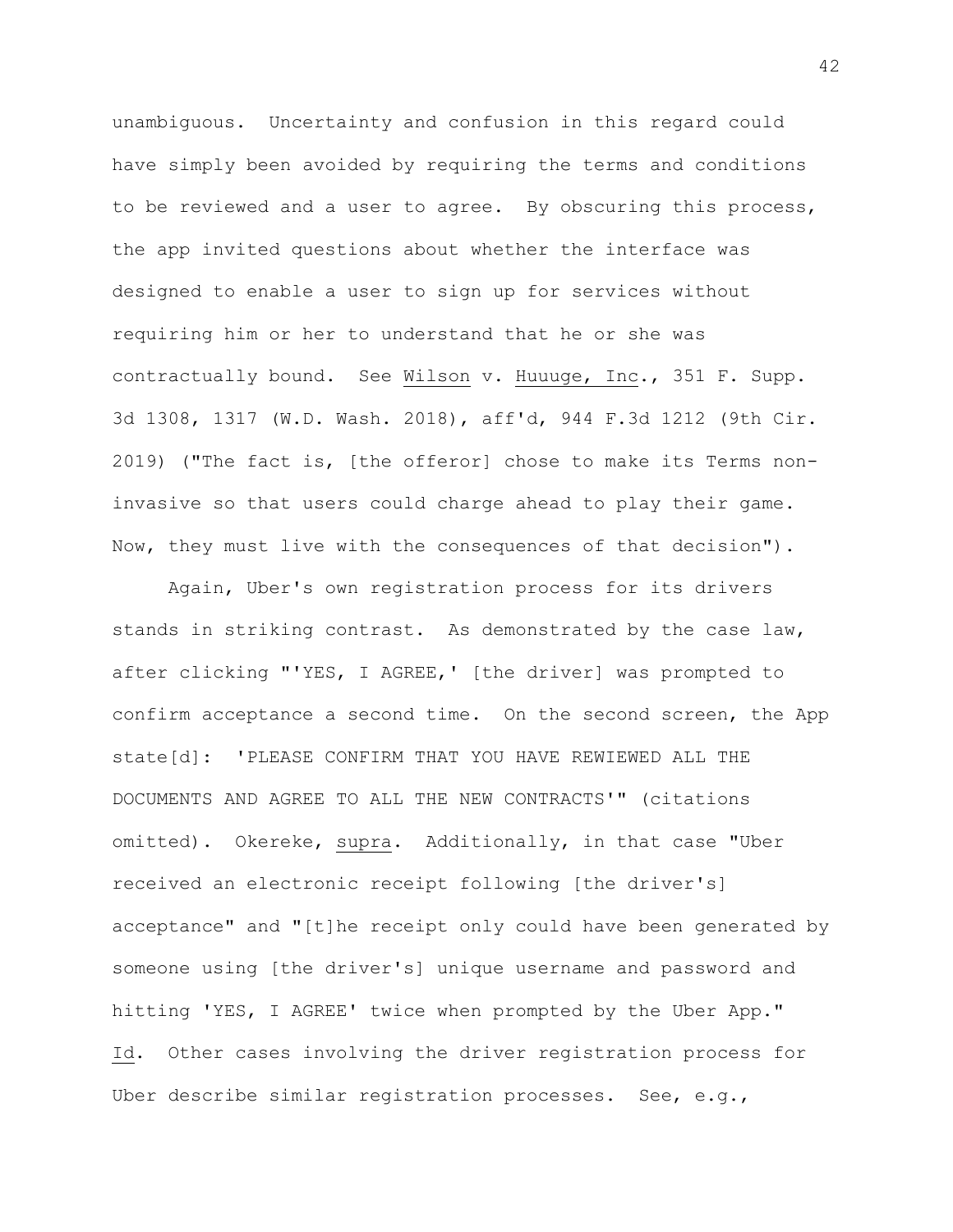unambiguous. Uncertainty and confusion in this regard could have simply been avoided by requiring the terms and conditions to be reviewed and a user to agree. By obscuring this process, the app invited questions about whether the interface was designed to enable a user to sign up for services without requiring him or her to understand that he or she was contractually bound. See Wilson v. Huuuge, Inc., 351 F. Supp. 3d 1308, 1317 (W.D. Wash. 2018), aff'd, 944 F.3d 1212 (9th Cir. 2019) ("The fact is, [the offeror] chose to make its Terms noninvasive so that users could charge ahead to play their game. Now, they must live with the consequences of that decision").

Again, Uber's own registration process for its drivers stands in striking contrast. As demonstrated by the case law, after clicking "'YES, I AGREE,' [the driver] was prompted to confirm acceptance a second time. On the second screen, the App state[d]: 'PLEASE CONFIRM THAT YOU HAVE REWIEWED ALL THE DOCUMENTS AND AGREE TO ALL THE NEW CONTRACTS'" (citations omitted). Okereke, supra. Additionally, in that case "Uber received an electronic receipt following [the driver's] acceptance" and "[t]he receipt only could have been generated by someone using [the driver's] unique username and password and hitting 'YES, I AGREE' twice when prompted by the Uber App." Id. Other cases involving the driver registration process for Uber describe similar registration processes. See, e.g.,